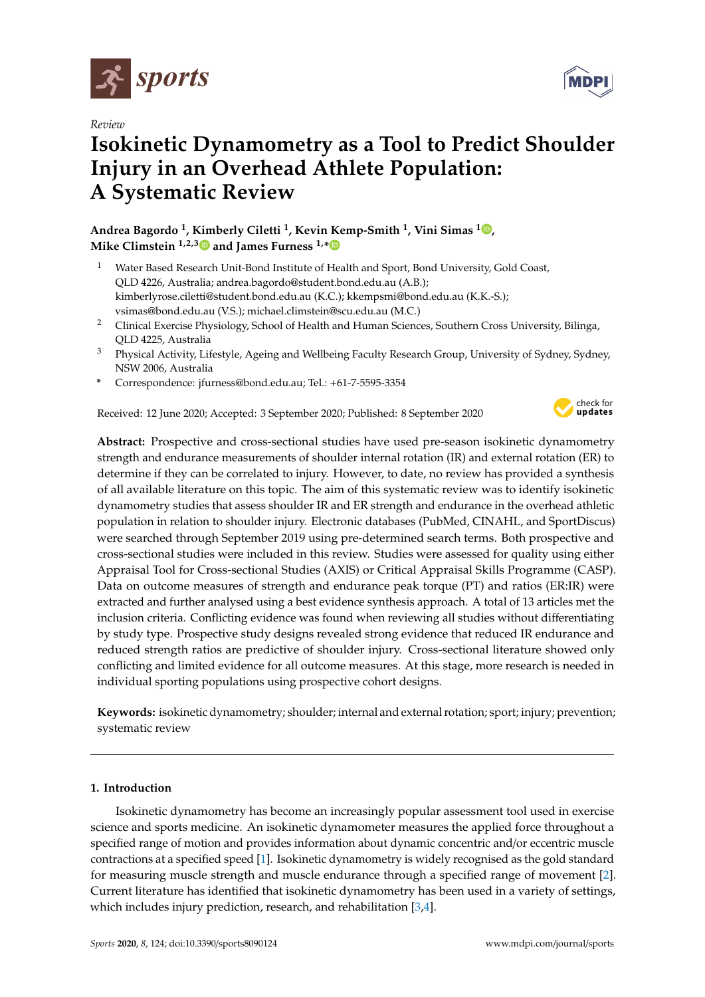

*Review*

# **Isokinetic Dynamometry as a Tool to Predict Shoulder Injury in an Overhead Athlete Population: A Systematic Review**

**Andrea Bagordo <sup>1</sup> , Kimberly Ciletti <sup>1</sup> , Kevin Kemp-Smith <sup>1</sup> , Vini Simas <sup>1</sup> [,](https://orcid.org/0000-0001-5797-2917) Mike Climstein 1,2,[3](https://orcid.org/0000-0002-5833-7760) and James Furness 1,[\\*](https://orcid.org/0000-0001-7773-0253)**

- <sup>1</sup> Water Based Research Unit-Bond Institute of Health and Sport, Bond University, Gold Coast, QLD 4226, Australia; andrea.bagordo@student.bond.edu.au (A.B.); kimberlyrose.ciletti@student.bond.edu.au (K.C.); kkempsmi@bond.edu.au (K.K.-S.); vsimas@bond.edu.au (V.S.); michael.climstein@scu.edu.au (M.C.)
- <sup>2</sup> Clinical Exercise Physiology, School of Health and Human Sciences, Southern Cross University, Bilinga, QLD 4225, Australia
- <sup>3</sup> Physical Activity, Lifestyle, Ageing and Wellbeing Faculty Research Group, University of Sydney, Sydney, NSW 2006, Australia
- **\*** Correspondence: jfurness@bond.edu.au; Tel.: +61-7-5595-3354

Received: 12 June 2020; Accepted: 3 September 2020; Published: 8 September 2020



**Abstract:** Prospective and cross-sectional studies have used pre-season isokinetic dynamometry strength and endurance measurements of shoulder internal rotation (IR) and external rotation (ER) to determine if they can be correlated to injury. However, to date, no review has provided a synthesis of all available literature on this topic. The aim of this systematic review was to identify isokinetic dynamometry studies that assess shoulder IR and ER strength and endurance in the overhead athletic population in relation to shoulder injury. Electronic databases (PubMed, CINAHL, and SportDiscus) were searched through September 2019 using pre-determined search terms. Both prospective and cross-sectional studies were included in this review. Studies were assessed for quality using either Appraisal Tool for Cross-sectional Studies (AXIS) or Critical Appraisal Skills Programme (CASP). Data on outcome measures of strength and endurance peak torque (PT) and ratios (ER:IR) were extracted and further analysed using a best evidence synthesis approach. A total of 13 articles met the inclusion criteria. Conflicting evidence was found when reviewing all studies without differentiating by study type. Prospective study designs revealed strong evidence that reduced IR endurance and reduced strength ratios are predictive of shoulder injury. Cross-sectional literature showed only conflicting and limited evidence for all outcome measures. At this stage, more research is needed in individual sporting populations using prospective cohort designs.

**Keywords:** isokinetic dynamometry; shoulder; internal and external rotation; sport; injury; prevention; systematic review

## **1. Introduction**

Isokinetic dynamometry has become an increasingly popular assessment tool used in exercise science and sports medicine. An isokinetic dynamometer measures the applied force throughout a specified range of motion and provides information about dynamic concentric and/or eccentric muscle contractions at a specified speed [\[1\]](#page-16-0). Isokinetic dynamometry is widely recognised as the gold standard for measuring muscle strength and muscle endurance through a specified range of movement [\[2\]](#page-17-0). Current literature has identified that isokinetic dynamometry has been used in a variety of settings, which includes injury prediction, research, and rehabilitation [\[3](#page-17-1)[,4\]](#page-17-2).

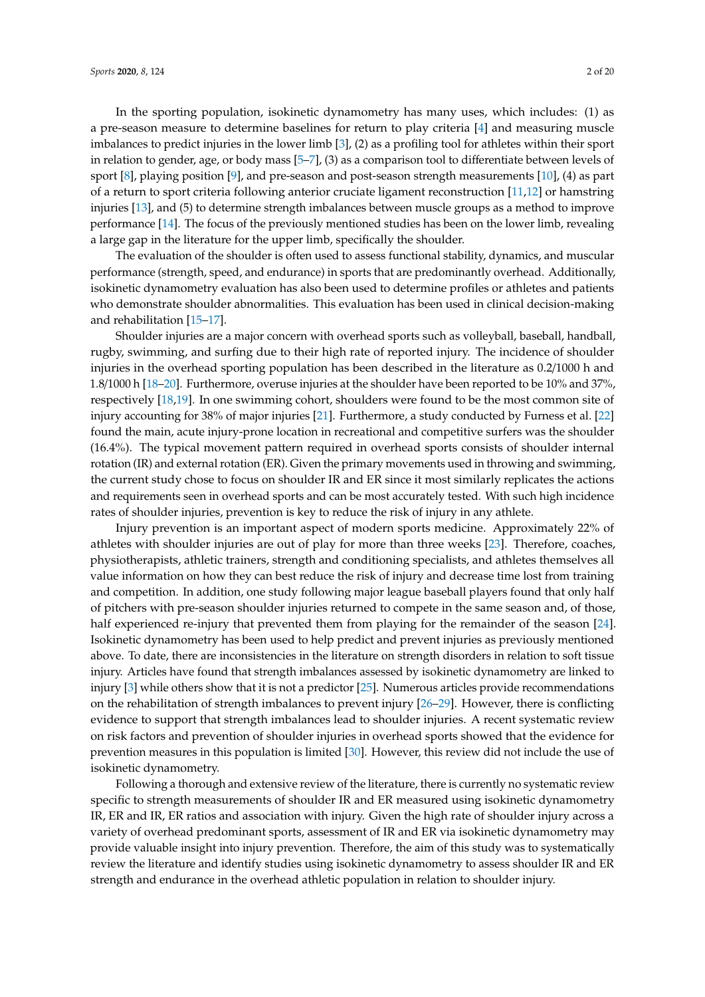In the sporting population, isokinetic dynamometry has many uses, which includes: (1) as a pre-season measure to determine baselines for return to play criteria [\[4\]](#page-17-2) and measuring muscle imbalances to predict injuries in the lower limb [\[3\]](#page-17-1), (2) as a profiling tool for athletes within their sport in relation to gender, age, or body mass [\[5](#page-17-3)[–7\]](#page-17-4), (3) as a comparison tool to differentiate between levels of sport [\[8\]](#page-17-5), playing position [\[9\]](#page-17-6), and pre-season and post-season strength measurements [\[10\]](#page-17-7), (4) as part of a return to sport criteria following anterior cruciate ligament reconstruction [\[11,](#page-17-8)[12\]](#page-17-9) or hamstring injuries [\[13\]](#page-17-10), and (5) to determine strength imbalances between muscle groups as a method to improve performance [\[14\]](#page-17-11). The focus of the previously mentioned studies has been on the lower limb, revealing a large gap in the literature for the upper limb, specifically the shoulder.

The evaluation of the shoulder is often used to assess functional stability, dynamics, and muscular performance (strength, speed, and endurance) in sports that are predominantly overhead. Additionally, isokinetic dynamometry evaluation has also been used to determine profiles or athletes and patients who demonstrate shoulder abnormalities. This evaluation has been used in clinical decision-making and rehabilitation [\[15–](#page-17-12)[17\]](#page-17-13).

Shoulder injuries are a major concern with overhead sports such as volleyball, baseball, handball, rugby, swimming, and surfing due to their high rate of reported injury. The incidence of shoulder injuries in the overhead sporting population has been described in the literature as 0.2/1000 h and 1.8/1000 h [\[18–](#page-17-14)[20\]](#page-17-15). Furthermore, overuse injuries at the shoulder have been reported to be 10% and 37%, respectively [\[18](#page-17-14)[,19\]](#page-17-16). In one swimming cohort, shoulders were found to be the most common site of injury accounting for 38% of major injuries [\[21\]](#page-17-17). Furthermore, a study conducted by Furness et al. [\[22\]](#page-17-18) found the main, acute injury-prone location in recreational and competitive surfers was the shoulder (16.4%). The typical movement pattern required in overhead sports consists of shoulder internal rotation (IR) and external rotation (ER). Given the primary movements used in throwing and swimming, the current study chose to focus on shoulder IR and ER since it most similarly replicates the actions and requirements seen in overhead sports and can be most accurately tested. With such high incidence rates of shoulder injuries, prevention is key to reduce the risk of injury in any athlete.

Injury prevention is an important aspect of modern sports medicine. Approximately 22% of athletes with shoulder injuries are out of play for more than three weeks [\[23\]](#page-17-19). Therefore, coaches, physiotherapists, athletic trainers, strength and conditioning specialists, and athletes themselves all value information on how they can best reduce the risk of injury and decrease time lost from training and competition. In addition, one study following major league baseball players found that only half of pitchers with pre-season shoulder injuries returned to compete in the same season and, of those, half experienced re-injury that prevented them from playing for the remainder of the season [\[24\]](#page-18-0). Isokinetic dynamometry has been used to help predict and prevent injuries as previously mentioned above. To date, there are inconsistencies in the literature on strength disorders in relation to soft tissue injury. Articles have found that strength imbalances assessed by isokinetic dynamometry are linked to injury [\[3\]](#page-17-1) while others show that it is not a predictor [\[25\]](#page-18-1). Numerous articles provide recommendations on the rehabilitation of strength imbalances to prevent injury [\[26](#page-18-2)[–29\]](#page-18-3). However, there is conflicting evidence to support that strength imbalances lead to shoulder injuries. A recent systematic review on risk factors and prevention of shoulder injuries in overhead sports showed that the evidence for prevention measures in this population is limited [\[30\]](#page-18-4). However, this review did not include the use of isokinetic dynamometry.

Following a thorough and extensive review of the literature, there is currently no systematic review specific to strength measurements of shoulder IR and ER measured using isokinetic dynamometry IR, ER and IR, ER ratios and association with injury. Given the high rate of shoulder injury across a variety of overhead predominant sports, assessment of IR and ER via isokinetic dynamometry may provide valuable insight into injury prevention. Therefore, the aim of this study was to systematically review the literature and identify studies using isokinetic dynamometry to assess shoulder IR and ER strength and endurance in the overhead athletic population in relation to shoulder injury.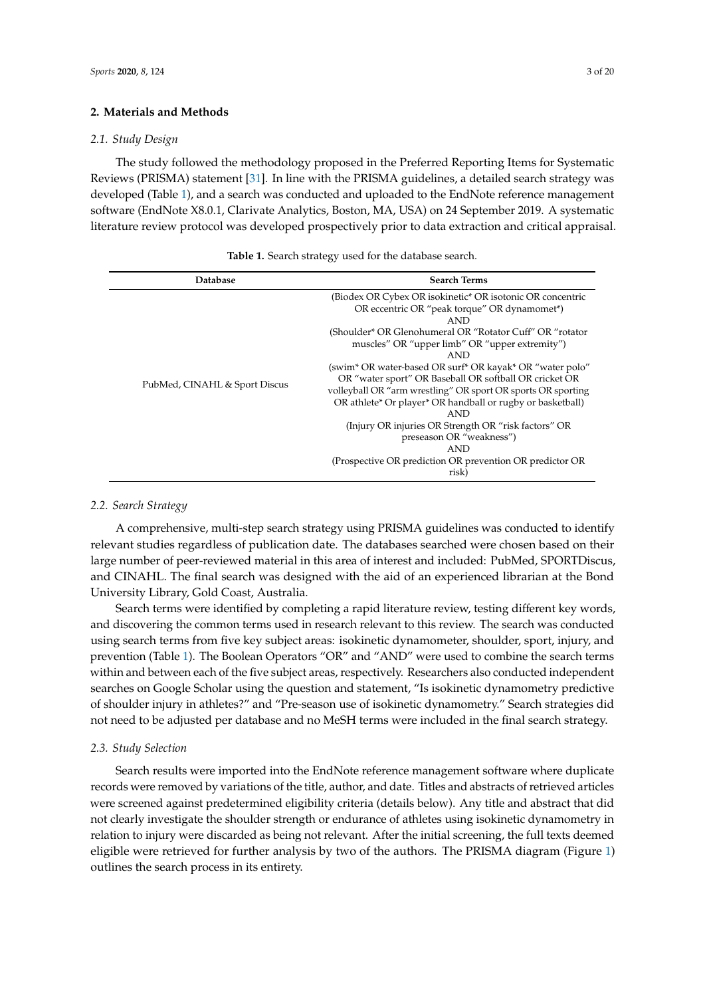## **2. Materials and Methods**

## *2.1. Study Design*

The study followed the methodology proposed in the Preferred Reporting Items for Systematic Reviews (PRISMA) statement [\[31\]](#page-18-5). In line with the PRISMA guidelines, a detailed search strategy was developed (Table [1\)](#page-2-0), and a search was conducted and uploaded to the EndNote reference management software (EndNote X8.0.1, Clarivate Analytics, Boston, MA, USA) on 24 September 2019. A systematic literature review protocol was developed prospectively prior to data extraction and critical appraisal.

<span id="page-2-0"></span>

| <b>Database</b>               | <b>Search Terms</b>                                                                                                                                                                 |
|-------------------------------|-------------------------------------------------------------------------------------------------------------------------------------------------------------------------------------|
|                               | (Biodex OR Cybex OR isokinetic* OR isotonic OR concentric<br>OR eccentric OR "peak torque" OR dynamomet")<br><b>AND</b><br>(Shoulder* OR Glenohumeral OR "Rotator Cuff" OR "rotator |
|                               | muscles" OR "upper limb" OR "upper extremity")<br><b>AND</b>                                                                                                                        |
| PubMed, CINAHL & Sport Discus | (swim* OR water-based OR surf* OR kayak* OR "water polo"<br>OR "water sport" OR Baseball OR softball OR cricket OR<br>volleyball OR "arm wrestling" OR sport OR sports OR sporting  |
|                               | OR athlete* Or player* OR handball or rugby or basketball)<br><b>AND</b>                                                                                                            |
|                               | (Injury OR injuries OR Strength OR "risk factors" OR<br>preseason OR "weakness")                                                                                                    |
|                               | <b>AND</b>                                                                                                                                                                          |
|                               | (Prospective OR prediction OR prevention OR predictor OR<br>risk)                                                                                                                   |

|  |  |  | <b>Table 1.</b> Search strategy used for the database search. |  |  |  |  |  |  |  |
|--|--|--|---------------------------------------------------------------|--|--|--|--|--|--|--|
|--|--|--|---------------------------------------------------------------|--|--|--|--|--|--|--|

# *2.2. Search Strategy*

A comprehensive, multi-step search strategy using PRISMA guidelines was conducted to identify relevant studies regardless of publication date. The databases searched were chosen based on their large number of peer-reviewed material in this area of interest and included: PubMed, SPORTDiscus, and CINAHL. The final search was designed with the aid of an experienced librarian at the Bond University Library, Gold Coast, Australia.

Search terms were identified by completing a rapid literature review, testing different key words, and discovering the common terms used in research relevant to this review. The search was conducted using search terms from five key subject areas: isokinetic dynamometer, shoulder, sport, injury, and prevention (Table [1\)](#page-2-0). The Boolean Operators "OR" and "AND" were used to combine the search terms within and between each of the five subject areas, respectively. Researchers also conducted independent searches on Google Scholar using the question and statement, "Is isokinetic dynamometry predictive of shoulder injury in athletes?" and "Pre-season use of isokinetic dynamometry." Search strategies did not need to be adjusted per database and no MeSH terms were included in the final search strategy.

#### *2.3. Study Selection*

Search results were imported into the EndNote reference management software where duplicate records were removed by variations of the title, author, and date. Titles and abstracts of retrieved articles were screened against predetermined eligibility criteria (details below). Any title and abstract that did not clearly investigate the shoulder strength or endurance of athletes using isokinetic dynamometry in relation to injury were discarded as being not relevant. After the initial screening, the full texts deemed eligible were retrieved for further analysis by two of the authors. The PRISMA diagram (Figure [1\)](#page-3-0) outlines the search process in its entirety.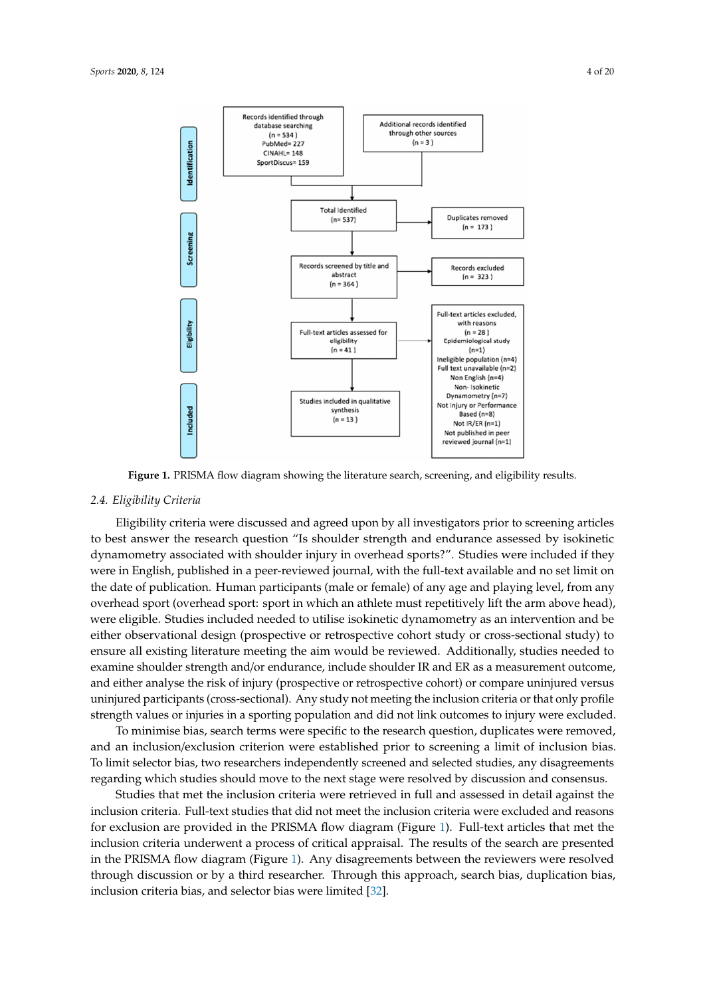<span id="page-3-0"></span>

**Figure 1.** PRISMA flow diagram showing the literature search, screening, and eligibility results. **Figure 1.** PRISMA flow diagram showing the literature search, screening, and eligibility results.

## *3.2. Critical Appraisal Results 2.4. Eligibility Criteria*

Eligibility criteria were discussed and agreed upon by all investigators prior to screening articles to best answer the research question "Is shoulder strength and endurance assessed by isokinetic dynamometry associated with shoulder injury in overhead sports?". Studies were included if they  $\Gamma$  critical approximation critical approximation over  $\Gamma$  which case ( $\sim 0.71$  ) and  $\sim 0.77$  and  $\sim 0.77$ were in English, published in a peer-reviewed journal, with the full-text available and no set limit on the date of publication. Human participants (male or female) of any age and playing level, from any overhead sport (overhead sport: sport in which an athlete must repetitively lift the arm above head), were eligible. Studies included needed to utilise isokinetic dynamometry as an intervention and be either observational design (prospective or retrospective cohort study or cross-sectional study) to ensure all existing literature meeting the aim would be reviewed. Additionally, studies needed to examine shoulder strength and/or endurance, include shoulder IR and ER as a measurement outcome, and either analyse the risk of injury (prospective or retrospective cohort) or compare uninjured versus uninjured participants (cross-sectional). Any study not meeting the inclusion criteria or that only profile strength values or injuries in a sporting population and did not link outcomes to injury were excluded.

To minimise bias, search terms were specific to the research question, duplicates were removed, and an inclusion/exclusion criterion were established prior to screening a limit of inclusion bias. To limit selector bias, two researchers independently screened and selected studies, any disagreements regarding which studies should move to the next stage were resolved by discussion and consensus.

Studies that met the inclusion criteria were retrieved in full and assessed in detail against the inclusion criteria. Full-text studies that did not meet the inclusion criteria were excluded and reasons for exclusion are provided in the PRISMA flow diagram (Figure [1\)](#page-3-0). Full-text articles that met the inclusion criteria underwent a process of critical appraisal. The results of the search are presented in the PRISMA flow diagram (Figure [1\)](#page-3-0). Any disagreements between the reviewers were resolved through discussion or by a third researcher. Through this approach, search bias, duplication bias, inclusion criteria bias, and selector bias were limited [\[32\]](#page-18-6).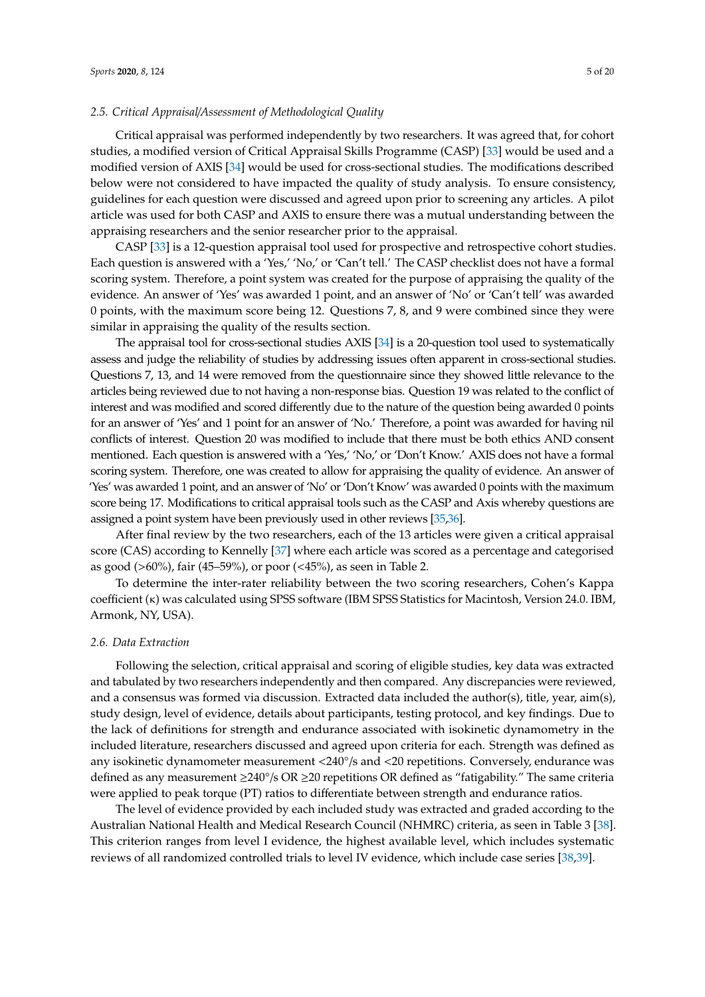## *2.5. Critical Appraisal*/*Assessment of Methodological Quality*

Critical appraisal was performed independently by two researchers. It was agreed that, for cohort studies, a modified version of Critical Appraisal Skills Programme (CASP) [\[33\]](#page-18-7) would be used and a modified version of AXIS [\[34\]](#page-18-8) would be used for cross-sectional studies. The modifications described below were not considered to have impacted the quality of study analysis. To ensure consistency, guidelines for each question were discussed and agreed upon prior to screening any articles. A pilot article was used for both CASP and AXIS to ensure there was a mutual understanding between the appraising researchers and the senior researcher prior to the appraisal.

CASP [\[33\]](#page-18-7) is a 12-question appraisal tool used for prospective and retrospective cohort studies. Each question is answered with a 'Yes,' 'No,' or 'Can't tell.' The CASP checklist does not have a formal scoring system. Therefore, a point system was created for the purpose of appraising the quality of the evidence. An answer of 'Yes' was awarded 1 point, and an answer of 'No' or 'Can't tell' was awarded 0 points, with the maximum score being 12. Questions 7, 8, and 9 were combined since they were similar in appraising the quality of the results section.

The appraisal tool for cross-sectional studies AXIS [\[34\]](#page-18-8) is a 20-question tool used to systematically assess and judge the reliability of studies by addressing issues often apparent in cross-sectional studies. Questions 7, 13, and 14 were removed from the questionnaire since they showed little relevance to the articles being reviewed due to not having a non-response bias. Question 19 was related to the conflict of interest and was modified and scored differently due to the nature of the question being awarded 0 points for an answer of 'Yes' and 1 point for an answer of 'No.' Therefore, a point was awarded for having nil conflicts of interest. Question 20 was modified to include that there must be both ethics AND consent mentioned. Each question is answered with a 'Yes,' 'No,' or 'Don't Know.' AXIS does not have a formal scoring system. Therefore, one was created to allow for appraising the quality of evidence. An answer of 'Yes' was awarded 1 point, and an answer of 'No' or 'Don't Know' was awarded 0 points with the maximum score being 17. Modifications to critical appraisal tools such as the CASP and Axis whereby questions are assigned a point system have been previously used in other reviews [\[35](#page-18-9)[,36\]](#page-18-10).

After final review by the two researchers, each of the 13 articles were given a critical appraisal score (CAS) according to Kennelly [\[37\]](#page-18-11) where each article was scored as a percentage and categorised as good (>60%), fair (45–59%), or poor (<45%), as seen in Table 2.

To determine the inter-rater reliability between the two scoring researchers, Cohen's Kappa coefficient (κ) was calculated using SPSS software (IBM SPSS Statistics for Macintosh, Version 24.0. IBM, Armonk, NY, USA).

## *2.6. Data Extraction*

Following the selection, critical appraisal and scoring of eligible studies, key data was extracted and tabulated by two researchers independently and then compared. Any discrepancies were reviewed, and a consensus was formed via discussion. Extracted data included the author(s), title, year, aim(s), study design, level of evidence, details about participants, testing protocol, and key findings. Due to the lack of definitions for strength and endurance associated with isokinetic dynamometry in the included literature, researchers discussed and agreed upon criteria for each. Strength was defined as any isokinetic dynamometer measurement <240°/s and <20 repetitions. Conversely, endurance was defined as any measurement ≥240◦ /s OR ≥20 repetitions OR defined as "fatigability." The same criteria were applied to peak torque (PT) ratios to differentiate between strength and endurance ratios.

The level of evidence provided by each included study was extracted and graded according to the Australian National Health and Medical Research Council (NHMRC) criteria, as seen in Table 3 [\[38\]](#page-18-12). This criterion ranges from level I evidence, the highest available level, which includes systematic reviews of all randomized controlled trials to level IV evidence, which include case series [\[38](#page-18-12)[,39\]](#page-18-13).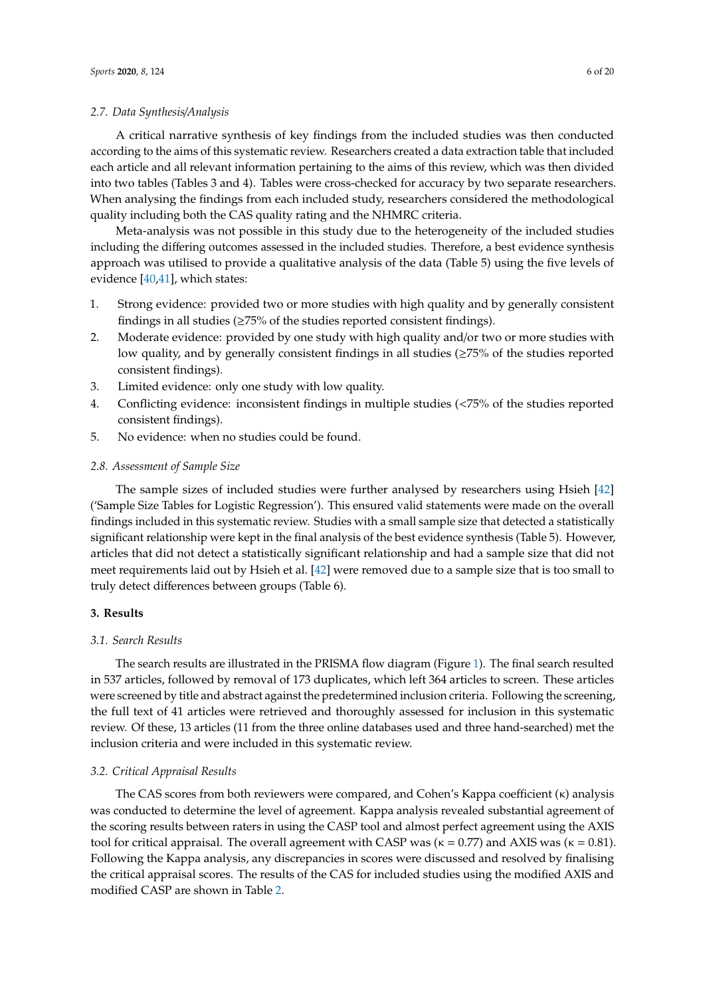## *2.7. Data Synthesis*/*Analysis*

A critical narrative synthesis of key findings from the included studies was then conducted according to the aims of this systematic review. Researchers created a data extraction table that included each article and all relevant information pertaining to the aims of this review, which was then divided into two tables (Tables 3 and 4). Tables were cross-checked for accuracy by two separate researchers. When analysing the findings from each included study, researchers considered the methodological quality including both the CAS quality rating and the NHMRC criteria.

Meta-analysis was not possible in this study due to the heterogeneity of the included studies including the differing outcomes assessed in the included studies. Therefore, a best evidence synthesis approach was utilised to provide a qualitative analysis of the data (Table 5) using the five levels of evidence [\[40](#page-18-14)[,41\]](#page-18-15), which states:

- 1. Strong evidence: provided two or more studies with high quality and by generally consistent findings in all studies ( $\geq$ 75% of the studies reported consistent findings).
- 2. Moderate evidence: provided by one study with high quality and/or two or more studies with low quality, and by generally consistent findings in all studies (≥75% of the studies reported consistent findings).
- 3. Limited evidence: only one study with low quality.
- 4. Conflicting evidence: inconsistent findings in multiple studies (<75% of the studies reported consistent findings).
- 5. No evidence: when no studies could be found.

#### <span id="page-5-0"></span>*2.8. Assessment of Sample Size*

The sample sizes of included studies were further analysed by researchers using Hsieh [\[42\]](#page-18-16) ('Sample Size Tables for Logistic Regression'). This ensured valid statements were made on the overall findings included in this systematic review. Studies with a small sample size that detected a statistically significant relationship were kept in the final analysis of the best evidence synthesis (Table 5). However, articles that did not detect a statistically significant relationship and had a sample size that did not meet requirements laid out by Hsieh et al. [\[42\]](#page-18-16) were removed due to a sample size that is too small to truly detect differences between groups (Table 6).

## **3. Results**

#### *3.1. Search Results*

The search results are illustrated in the PRISMA flow diagram (Figure [1\)](#page-3-0). The final search resulted in 537 articles, followed by removal of 173 duplicates, which left 364 articles to screen. These articles were screened by title and abstract against the predetermined inclusion criteria. Following the screening, the full text of 41 articles were retrieved and thoroughly assessed for inclusion in this systematic review. Of these, 13 articles (11 from the three online databases used and three hand-searched) met the inclusion criteria and were included in this systematic review.

## *3.2. Critical Appraisal Results*

The CAS scores from both reviewers were compared, and Cohen's Kappa coefficient (κ) analysis was conducted to determine the level of agreement. Kappa analysis revealed substantial agreement of the scoring results between raters in using the CASP tool and almost perfect agreement using the AXIS tool for critical appraisal. The overall agreement with CASP was ( $κ = 0.77$ ) and AXIS was ( $κ = 0.81$ ). Following the Kappa analysis, any discrepancies in scores were discussed and resolved by finalising the critical appraisal scores. The results of the CAS for included studies using the modified AXIS and modified CASP are shown in Table [2.](#page-6-0)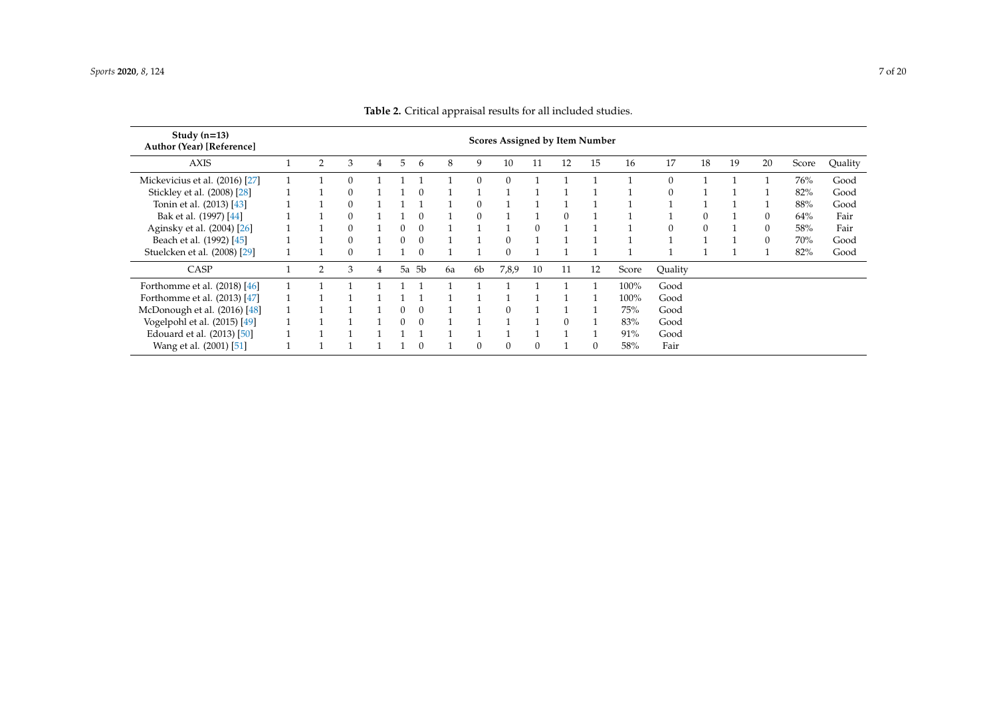<span id="page-6-0"></span>

| Study $(n=13)$<br>Author (Year) [Reference] |                |          |   |   |          |    |    | <b>Scores Assigned by Item Number</b> |    |          |    |       |          |          |    |              |       |         |
|---------------------------------------------|----------------|----------|---|---|----------|----|----|---------------------------------------|----|----------|----|-------|----------|----------|----|--------------|-------|---------|
| <b>AXIS</b>                                 | $\overline{2}$ | 3        | 4 | 5 | 6        | 8  | 9  | 10                                    | 11 | 12       | 15 | 16    | 17       | 18       | 19 | 20           | Score | Quality |
| Mickevicius et al. (2016) [27]              |                | $\Omega$ |   |   |          |    |    | $\Omega$                              |    |          |    |       | $\Omega$ |          |    |              | 76%   | Good    |
| Stickley et al. (2008) [28]                 |                |          |   |   |          |    |    |                                       |    |          |    |       | $\Omega$ |          |    |              | 82%   | Good    |
| Tonin et al. (2013) [43]                    |                |          |   |   |          |    |    |                                       |    |          |    |       |          |          |    |              | 88%   | Good    |
| Bak et al. (1997) [44]                      |                |          |   |   |          |    |    |                                       |    | $\Omega$ |    |       |          | $\Omega$ |    | $\mathbf{0}$ | 64%   | Fair    |
| Aginsky et al. (2004) [26]                  |                |          |   |   |          |    |    |                                       |    |          |    |       | $\Omega$ | $\Omega$ |    | $\theta$     | 58%   | Fair    |
| Beach et al. (1992) [45]                    |                | $\Omega$ |   |   |          |    |    | $\Omega$                              |    |          |    |       |          |          |    | $\Omega$     | 70%   | Good    |
| Stuelcken et al. (2008) [29]                |                |          |   |   |          |    |    | $\Omega$                              |    |          |    |       |          |          |    |              | 82%   | Good    |
| CASP                                        | $\overline{2}$ | 3        | 4 |   | 5a 5b    | 6a | 6b | 7,8,9                                 | 10 | 11       | 12 | Score | Quality  |          |    |              |       |         |
| Forthomme et al. (2018) [46]                |                |          |   |   |          |    |    |                                       |    |          |    | 100%  | Good     |          |    |              |       |         |
| Forthomme et al. (2013) [47]                |                |          |   |   |          |    |    |                                       |    |          |    | 100%  | Good     |          |    |              |       |         |
| McDonough et al. (2016) [48]                |                |          |   |   |          |    |    | $\Omega$                              |    |          |    | 75%   | Good     |          |    |              |       |         |
| Vogelpohl et al. (2015) [49]                |                |          |   |   | $\Omega$ |    |    |                                       |    | $\Omega$ |    | 83%   | Good     |          |    |              |       |         |
| Edouard et al. (2013) [50]                  |                |          |   |   |          |    |    |                                       |    |          |    | 91%   | Good     |          |    |              |       |         |
| Wang et al. (2001) [51]                     |                |          |   |   |          |    |    | $\Omega$                              |    |          |    | 58%   | Fair     |          |    |              |       |         |

**Table 2.** Critical appraisal results for all included studies.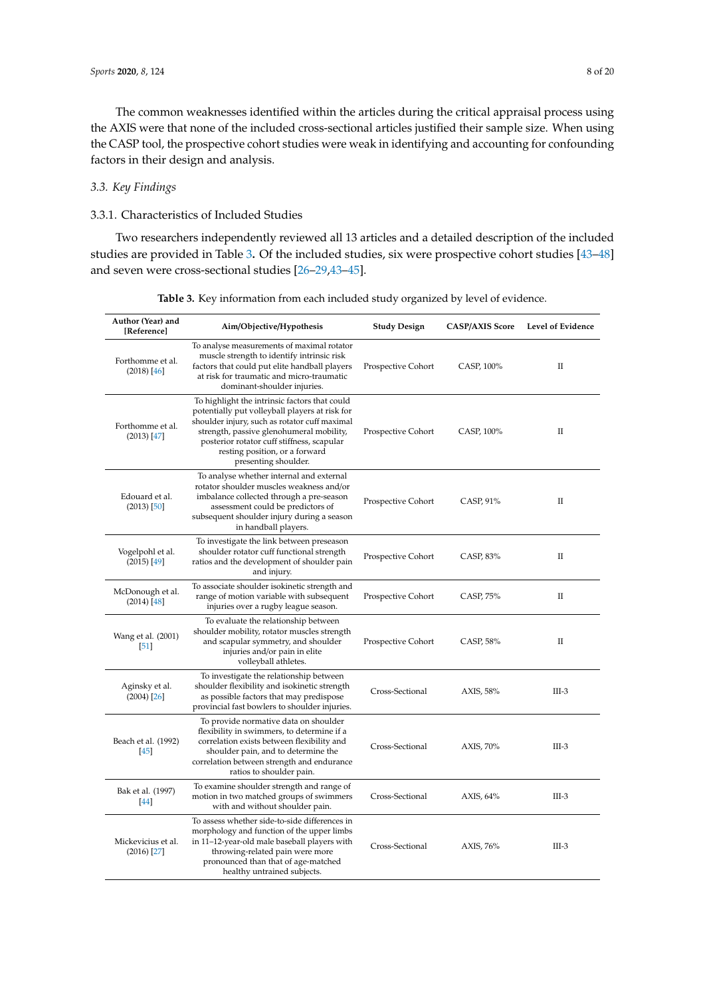The common weaknesses identified within the articles during the critical appraisal process using the AXIS were that none of the included cross-sectional articles justified their sample size. When using the CASP tool, the prospective cohort studies were weak in identifying and accounting for confounding factors in their design and analysis.

# *3.3. Key Findings*

## 3.3.1. Characteristics of Included Studies

Two researchers independently reviewed all 13 articles and a detailed description of the included studies are provided in Table [3](#page-8-0)**.** Of the included studies, six were prospective cohort studies [\[43](#page-18-24)[–48\]](#page-19-5) and seven were cross-sectional studies [\[26](#page-18-2)[–29](#page-18-3)[,43–](#page-18-24)[45\]](#page-18-25).

| Author (Year) and<br>[Reference]    | Aim/Objective/Hypothesis                                                                                                                                                                                                                                                                             | <b>Study Design</b> | <b>CASP/AXIS Score</b> | Level of Evidence |
|-------------------------------------|------------------------------------------------------------------------------------------------------------------------------------------------------------------------------------------------------------------------------------------------------------------------------------------------------|---------------------|------------------------|-------------------|
| Forthomme et al.<br>$(2018)$ [46]   | To analyse measurements of maximal rotator<br>muscle strength to identify intrinsic risk<br>factors that could put elite handball players<br>at risk for traumatic and micro-traumatic<br>dominant-shoulder injuries.                                                                                | Prospective Cohort  | CASP, 100%             | П                 |
| Forthomme et al.<br>(2013) [47]     | To highlight the intrinsic factors that could<br>potentially put volleyball players at risk for<br>shoulder injury, such as rotator cuff maximal<br>strength, passive glenohumeral mobility,<br>posterior rotator cuff stiffness, scapular<br>resting position, or a forward<br>presenting shoulder. | Prospective Cohort  | CASP, 100%             | П                 |
| Edouard et al.<br>$(2013)$ [50]     | To analyse whether internal and external<br>rotator shoulder muscles weakness and/or<br>imbalance collected through a pre-season<br>assessment could be predictors of<br>subsequent shoulder injury during a season<br>in handball players.                                                          | Prospective Cohort  | CASP, 91%              | П                 |
| Vogelpohl et al.<br>$(2015)$ [49]   | To investigate the link between preseason<br>shoulder rotator cuff functional strength<br>ratios and the development of shoulder pain<br>and injury.                                                                                                                                                 | Prospective Cohort  | CASP, 83%              | П                 |
| McDonough et al.<br>$(2014)$ [48]   | To associate shoulder isokinetic strength and<br>range of motion variable with subsequent<br>injuries over a rugby league season.                                                                                                                                                                    | Prospective Cohort  | CASP, 75%              | П                 |
| Wang et al. (2001)<br>$[51]$        | To evaluate the relationship between<br>shoulder mobility, rotator muscles strength<br>and scapular symmetry, and shoulder<br>injuries and/or pain in elite<br>volleyball athletes.                                                                                                                  | Prospective Cohort  | CASP, 58%              | П                 |
| Aginsky et al.<br>$(2004)$ [26]     | To investigate the relationship between<br>shoulder flexibility and isokinetic strength<br>as possible factors that may predispose<br>provincial fast bowlers to shoulder injuries.                                                                                                                  | Cross-Sectional     | AXIS, 58%              | $III-3$           |
| Beach et al. (1992)<br>$[45]$       | To provide normative data on shoulder<br>flexibility in swimmers, to determine if a<br>correlation exists between flexibility and<br>shoulder pain, and to determine the<br>correlation between strength and endurance<br>ratios to shoulder pain.                                                   | Cross-Sectional     | AXIS, 70%              | $III-3$           |
| Bak et al. (1997)<br>$[44]$         | To examine shoulder strength and range of<br>motion in two matched groups of swimmers<br>with and without shoulder pain.                                                                                                                                                                             | Cross-Sectional     | AXIS, $64\%$           | $III-3$           |
| Mickevicius et al.<br>$(2016)$ [27] | To assess whether side-to-side differences in<br>morphology and function of the upper limbs<br>in 11-12-year-old male baseball players with<br>throwing-related pain were more<br>pronounced than that of age-matched<br>healthy untrained subjects.                                                 | Cross-Sectional     | AXIS, 76%              | $III-3$           |

**Table 3.** Key information from each included study organized by level of evidence.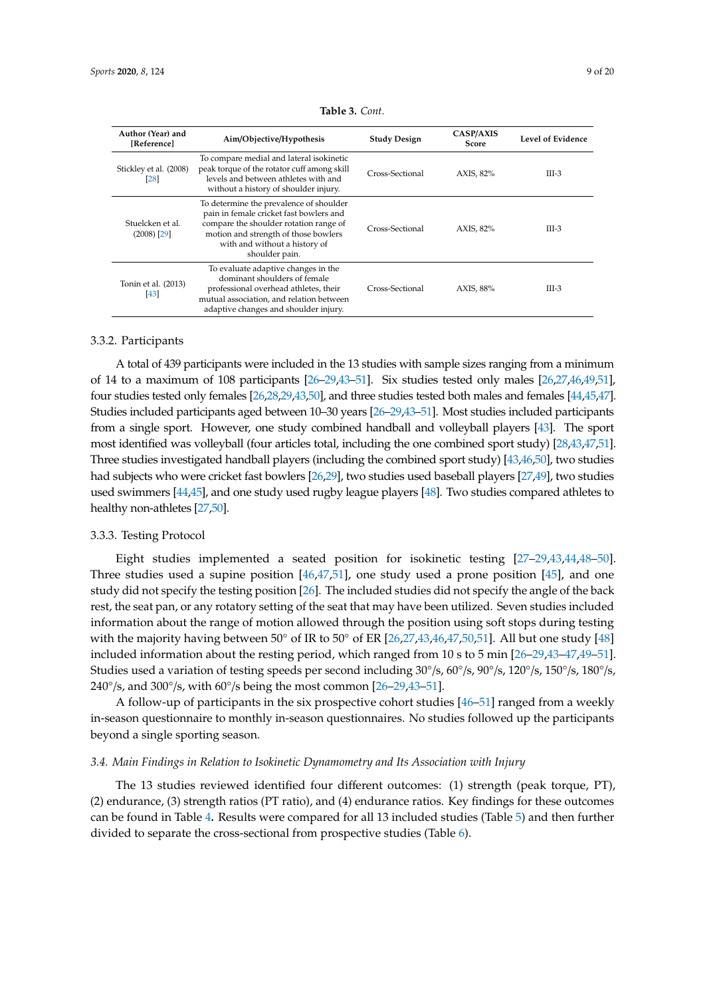<span id="page-8-0"></span>

| Author (Year) and<br>[Reference]  | Aim/Objective/Hypothesis                                                                                                                                                                                                | <b>Study Design</b> | <b>CASP/AXIS</b><br><b>Score</b> | Level of Evidence |
|-----------------------------------|-------------------------------------------------------------------------------------------------------------------------------------------------------------------------------------------------------------------------|---------------------|----------------------------------|-------------------|
| Stickley et al. (2008)<br>[28]    | To compare medial and lateral isokinetic<br>peak torque of the rotator cuff among skill<br>levels and between athletes with and<br>without a history of shoulder injury.                                                | Cross-Sectional     | AXIS, 82%                        | III-3             |
| Stuelcken et al.<br>$(2008)$ [29] | To determine the prevalence of shoulder<br>pain in female cricket fast bowlers and<br>compare the shoulder rotation range of<br>motion and strength of those bowlers<br>with and without a history of<br>shoulder pain. | Cross-Sectional     | AXIS, 82%                        | $III-3$           |
| Tonin et al. (2013)<br>$[43]$     | To evaluate adaptive changes in the<br>dominant shoulders of female<br>professional overhead athletes, their<br>mutual association, and relation between<br>adaptive changes and shoulder injury.                       | Cross-Sectional     | AXIS, 88%                        | $III-3$           |

**Table 3.** *Cont.*

#### 3.3.2. Participants

A total of 439 participants were included in the 13 studies with sample sizes ranging from a minimum of 14 to a maximum of 108 participants [\[26–](#page-18-2)[29](#page-18-3)[,43](#page-18-24)[–51\]](#page-19-9). Six studies tested only males [\[26](#page-18-2)[,27](#page-18-28)[,46](#page-18-26)[,49,](#page-19-8)[51\]](#page-19-9), four studies tested only females [\[26,](#page-18-2)[28](#page-18-29)[,29,](#page-18-3)[43](#page-18-24)[,50\]](#page-19-7), and three studies tested both males and females [\[44,](#page-18-27)[45](#page-18-25)[,47\]](#page-19-6). Studies included participants aged between 10–30 years [\[26–](#page-18-2)[29](#page-18-3)[,43–](#page-18-24)[51\]](#page-19-9). Most studies included participants from a single sport. However, one study combined handball and volleyball players [\[43\]](#page-18-24). The sport most identified was volleyball (four articles total, including the one combined sport study) [\[28,](#page-18-29)[43](#page-18-24)[,47](#page-19-6)[,51\]](#page-19-9). Three studies investigated handball players (including the combined sport study) [\[43](#page-18-24)[,46,](#page-18-26)[50\]](#page-19-7), two studies had subjects who were cricket fast bowlers [\[26](#page-18-2)[,29\]](#page-18-3), two studies used baseball players [\[27](#page-18-28)[,49\]](#page-19-8), two studies used swimmers [\[44,](#page-18-27)[45\]](#page-18-25), and one study used rugby league players [\[48\]](#page-19-5). Two studies compared athletes to healthy non-athletes [\[27,](#page-18-28)[50\]](#page-19-7).

# 3.3.3. Testing Protocol

Eight studies implemented a seated position for isokinetic testing [\[27](#page-18-28)[–29,](#page-18-3)[43,](#page-18-24)[44,](#page-18-27)[48–](#page-19-5)[50\]](#page-19-7). Three studies used a supine position [\[46,](#page-18-26)[47,](#page-19-6)[51\]](#page-19-9), one study used a prone position [\[45\]](#page-18-25), and one study did not specify the testing position [\[26\]](#page-18-2). The included studies did not specify the angle of the back rest, the seat pan, or any rotatory setting of the seat that may have been utilized. Seven studies included information about the range of motion allowed through the position using soft stops during testing with the majority having between 50° of IR to 50° of ER [\[26](#page-18-2)[,27](#page-18-28)[,43](#page-18-24)[,46](#page-18-26)[,47](#page-19-6)[,50](#page-19-7)[,51\]](#page-19-9). All but one study [\[48\]](#page-19-5) included information about the resting period, which ranged from 10 s to 5 min [\[26–](#page-18-2)[29,](#page-18-3)[43](#page-18-24)[–47,](#page-19-6)[49–](#page-19-8)[51\]](#page-19-9). Studies used a variation of testing speeds per second including 30°/s, 60°/s, 90°/s, 120°/s, 150°/s, 180°/s, 240◦ /s, and 300◦ /s, with 60◦ /s being the most common [\[26–](#page-18-2)[29](#page-18-3)[,43–](#page-18-24)[51\]](#page-19-9).

A follow-up of participants in the six prospective cohort studies [\[46–](#page-18-26)[51\]](#page-19-9) ranged from a weekly in-season questionnaire to monthly in-season questionnaires. No studies followed up the participants beyond a single sporting season.

## *3.4. Main Findings in Relation to Isokinetic Dynamometry and Its Association with Injury*

The 13 studies reviewed identified four different outcomes: (1) strength (peak torque, PT), (2) endurance, (3) strength ratios (PT ratio), and (4) endurance ratios. Key findings for these outcomes can be found in Table [4](#page-11-0)**.** Results were compared for all 13 included studies (Table [5\)](#page-12-0) and then further divided to separate the cross-sectional from prospective studies (Table [6\)](#page-12-1).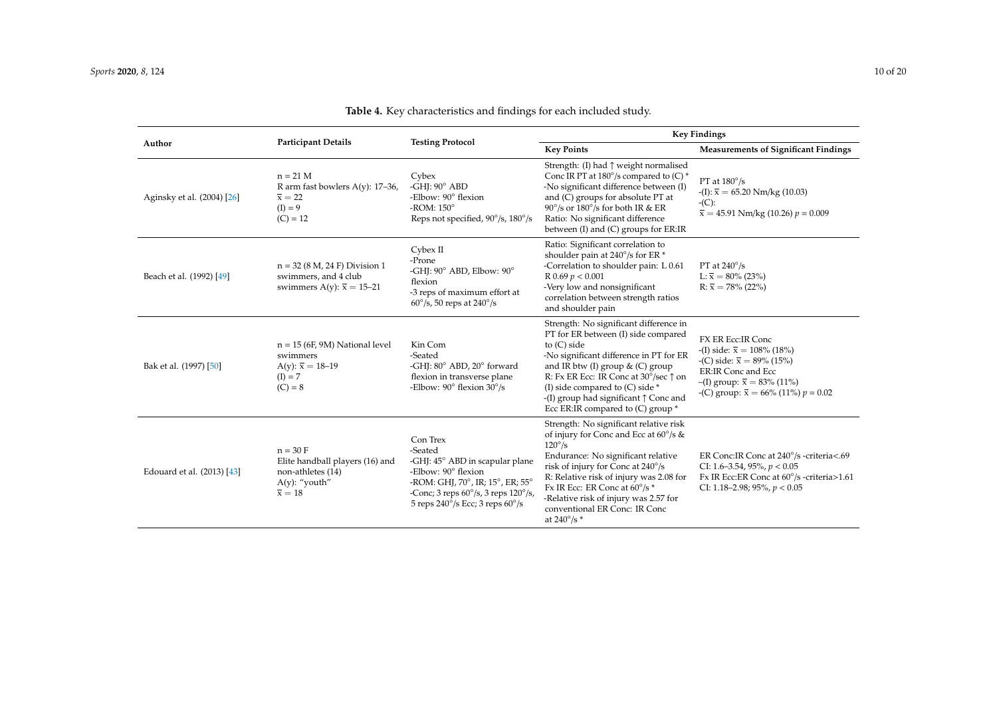|                            | <b>Participant Details</b>                                                                                    | <b>Testing Protocol</b>                                                                                                                                                                                                           | <b>Key Findings</b>                                                                                                                                                                                                                                                                                                                                   |                                                                                                                                                                                                                   |  |  |  |
|----------------------------|---------------------------------------------------------------------------------------------------------------|-----------------------------------------------------------------------------------------------------------------------------------------------------------------------------------------------------------------------------------|-------------------------------------------------------------------------------------------------------------------------------------------------------------------------------------------------------------------------------------------------------------------------------------------------------------------------------------------------------|-------------------------------------------------------------------------------------------------------------------------------------------------------------------------------------------------------------------|--|--|--|
| Author                     |                                                                                                               |                                                                                                                                                                                                                                   | <b>Key Points</b>                                                                                                                                                                                                                                                                                                                                     | <b>Measurements of Significant Findings</b>                                                                                                                                                                       |  |  |  |
| Aginsky et al. (2004) [26] | $n = 21$ M<br>R arm fast bowlers $A(y)$ : 17-36,<br>$\overline{x} = 22$<br>$(I) = 9$<br>$(C) = 12$            | Cybex<br>-GHI: $90^\circ$ ABD<br>-Elbow: 90° flexion<br>-ROM: $150^\circ$<br>Reps not specified, 90°/s, 180°/s                                                                                                                    | Strength: (I) had $\uparrow$ weight normalised<br>Conc IR PT at $180^{\circ}/s$ compared to (C) *<br>-No significant difference between (I)<br>and (C) groups for absolute PT at<br>$90^{\circ}/s$ or $180^{\circ}/s$ for both IR & ER<br>Ratio: No significant difference<br>between (I) and (C) groups for ER:IR                                    | PT at $180^{\circ}/s$<br>$-(I): \bar{x} = 65.20$ Nm/kg (10.03)<br>$-(C)$ :<br>$\bar{x}$ = 45.91 Nm/kg (10.26) $p = 0.009$                                                                                         |  |  |  |
| Beach et al. (1992) [49]   | $n = 32 (8 M, 24 F)$ Division 1<br>swimmers, and 4 club<br>swimmers A(y): $\bar{x} = 15-21$                   | Cybex II<br>-Prone<br>-GHI: 90° ABD, Elbow: 90°<br>flexion<br>-3 reps of maximum effort at<br>$60^{\circ}/s$ , 50 reps at 240 $^{\circ}/s$                                                                                        | Ratio: Significant correlation to<br>shoulder pain at 240°/s for ER *<br>-Correlation to shoulder pain: L 0.61<br>$R$ 0.69 $p < 0.001$<br>-Very low and nonsignificant<br>correlation between strength ratios<br>and shoulder pain                                                                                                                    | PT at $240^{\circ}/s$<br>L: $\bar{x} = 80\%$ (23%)<br>$R: \bar{x} = 78\%$ (22%)                                                                                                                                   |  |  |  |
| Bak et al. (1997) [50]     | $n = 15$ (6F, 9M) National level<br>swimmers<br>A(y): $\bar{x} = 18-19$<br>$(I) = 7$<br>$(C) = 8$             | Kin Com<br>-Seated<br>-GHJ: 80° ABD, 20° forward<br>flexion in transverse plane<br>-Elbow: 90° flexion 30°/s                                                                                                                      | Strength: No significant difference in<br>PT for ER between (I) side compared<br>to $(C)$ side<br>-No significant difference in PT for ER<br>and IR btw (I) group $\&$ (C) group<br>R: Fx ER Ecc: IR Conc at 30°/sec↑on<br>(I) side compared to $(C)$ side $*$<br>-(I) group had significant $\uparrow$ Conc and<br>Ecc ER:IR compared to (C) group * | FX ER Ecc: IR Conc<br>$-(I)$ side: $\bar{x} = 108\%$ (18%)<br>$-C$ ) side: $\bar{x} = 89\% (15\%)$<br>ER:IR Conc and Ecc<br>$-(I)$ group: $\bar{x} = 83\%$ (11%)<br>-(C) group: $\bar{x} = 66\%$ (11%) $p = 0.02$ |  |  |  |
| Edouard et al. (2013) [43] | $n = 30$ F<br>Elite handball players (16) and<br>non-athletes (14)<br>$A(y)$ : "youth"<br>$\overline{x} = 18$ | Con Trex<br>-Seated<br>-GHJ: 45° ABD in scapular plane<br>-Elbow: 90° flexion<br>-ROM: GHJ, 70°, IR; 15°, ER; 55°<br>-Conc; 3 reps $60^{\circ}/s$ , 3 reps $120^{\circ}/s$ ,<br>5 reps $240^{\circ}/s$ Ecc; 3 reps $60^{\circ}/s$ | Strength: No significant relative risk<br>of injury for Conc and Ecc at 60°/s &<br>$120^{\circ}/s$<br>Endurance: No significant relative<br>risk of injury for Conc at 240°/s<br>R: Relative risk of injury was 2.08 for<br>Fx IR Ecc: ER Conc at 60°/s *<br>-Relative risk of injury was 2.57 for<br>conventional ER Conc: IR Conc<br>at 240°/s *    | ER Conc:IR Conc at 240°/s -criteria<.69<br>CI: 1.6-3.54, 95%, $p < 0.05$<br>Fx IR Ecc:ER Conc at 60°/s -criteria>1.61<br>CI: 1.18-2.98; 95%, $p < 0.05$                                                           |  |  |  |

# **Table 4.** Key characteristics and findings for each included study.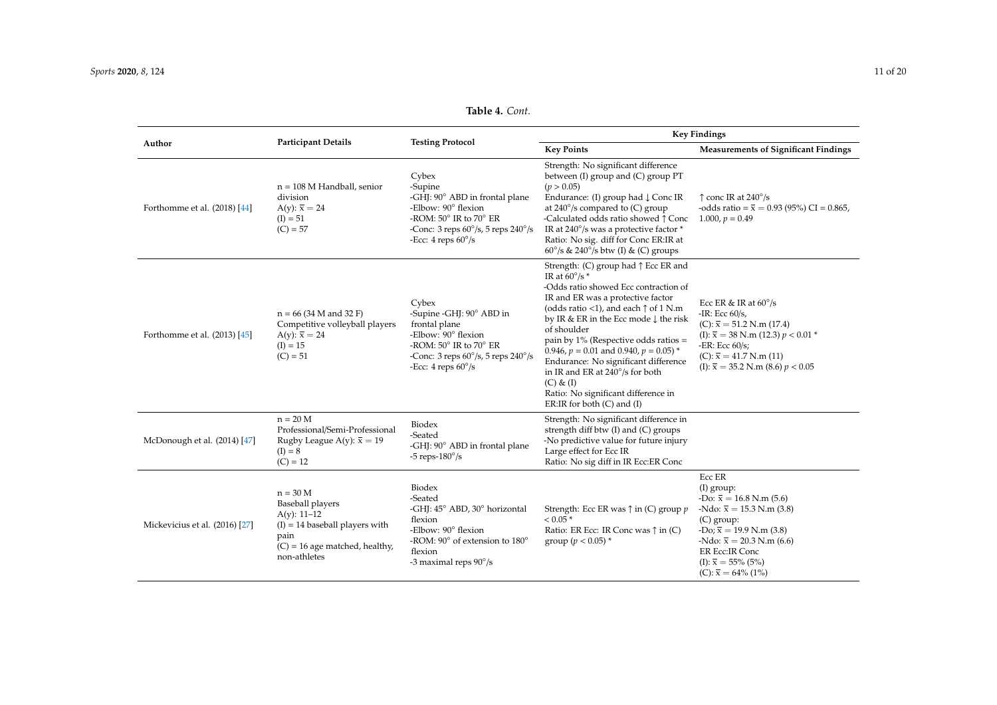| <b>Table 4.</b> Cont. |  |
|-----------------------|--|
|-----------------------|--|

|                                |                                                                                                                                                  |                                                                                                                                                                                                           | <b>Key Findings</b>                                                                                                                                                                                                                                                                                                                                                                                                                                                                                                  |                                                                                                                                                                                                                                                                     |  |  |  |
|--------------------------------|--------------------------------------------------------------------------------------------------------------------------------------------------|-----------------------------------------------------------------------------------------------------------------------------------------------------------------------------------------------------------|----------------------------------------------------------------------------------------------------------------------------------------------------------------------------------------------------------------------------------------------------------------------------------------------------------------------------------------------------------------------------------------------------------------------------------------------------------------------------------------------------------------------|---------------------------------------------------------------------------------------------------------------------------------------------------------------------------------------------------------------------------------------------------------------------|--|--|--|
| Author                         | <b>Participant Details</b>                                                                                                                       | <b>Testing Protocol</b>                                                                                                                                                                                   | <b>Key Points</b>                                                                                                                                                                                                                                                                                                                                                                                                                                                                                                    | <b>Measurements of Significant Findings</b>                                                                                                                                                                                                                         |  |  |  |
| Forthomme et al. (2018) [44]   | $n = 108$ M Handball, senior<br>division<br>A(y): $\overline{x} = 24$<br>$(I) = 51$<br>$(C) = 57$                                                | Cybex<br>-Supine<br>-GHJ: 90° ABD in frontal plane<br>-Elbow: 90° flexion<br>-ROM: $50^\circ$ IR to $70^\circ$ ER<br>-Conc: 3 reps $60^{\circ}/s$ , 5 reps $240^{\circ}/s$<br>-Ecc: 4 reps $60^{\circ}/s$ | Strength: No significant difference<br>between (I) group and (C) group PT<br>(p > 0.05)<br>Endurance: (I) group had $\downarrow$ Conc IR<br>at $240^{\circ}/s$ compared to (C) group<br>-Calculated odds ratio showed $\uparrow$ Conc<br>IR at 240°/s was a protective factor *<br>Ratio: No sig. diff for Conc ER:IR at<br>$60^{\circ}/s$ & 240°/s btw (I) & (C) groups                                                                                                                                             | $\uparrow$ conc IR at 240 $\degree$ /s<br>-odds ratio = $\bar{x}$ = 0.93 (95%) CI = 0.865,<br>1.000, $p = 0.49$                                                                                                                                                     |  |  |  |
| Forthomme et al. (2013) [45]   | $n = 66$ (34 M and 32 F)<br>Competitive volleyball players<br>A(y): $\overline{x} = 24$<br>$(I) = 15$<br>$(C) = 51$                              | Cybex<br>-Supine -GHJ: 90° ABD in<br>frontal plane<br>-Elbow: 90° flexion<br>-ROM: $50^\circ$ IR to $70^\circ$ ER<br>-Conc: 3 reps $60^{\circ}/s$ , 5 reps $240^{\circ}/s$<br>-Ecc: 4 reps $60^{\circ}/s$ | Strength: (C) group had ↑ Ecc ER and<br>IR at $60^{\circ}/s$ *<br>-Odds ratio showed Ecc contraction of<br>IR and ER was a protective factor<br>(odds ratio <1), and each $\uparrow$ of 1 N.m<br>by IR & ER in the Ecc mode ↓ the risk<br>of shoulder<br>pain by $1\%$ (Respective odds ratios =<br>0.946, $p = 0.01$ and 0.940, $p = 0.05$ ) *<br>Endurance: No significant difference<br>in IR and ER at 240°/s for both<br>$(C)$ & $(I)$<br>Ratio: No significant difference in<br>ER:IR for both $(C)$ and $(I)$ | Ecc ER & IR at $60^{\circ}/s$<br>-IR: Ecc $60/s$ ,<br>(C): $\bar{x} = 51.2$ N.m (17.4)<br>(I): $\bar{x}$ = 38 N.m (12.3) $p < 0.01$ *<br>-ER: Ecc $60/s$ ;<br>(C): $\bar{x} = 41.7$ N.m (11)<br>(I): $\bar{x}$ = 35.2 N.m (8.6) $p < 0.05$                          |  |  |  |
| McDonough et al. (2014) [47]   | $n = 20$ M<br>Professional/Semi-Professional<br>Rugby League A(y): $\bar{x} = 19$<br>$(I) = 8$<br>$(C) = 12$                                     | Biodex<br>-Seated<br>-GHJ: 90° ABD in frontal plane<br>$-5$ reps $-180^{\circ}/s$                                                                                                                         | Strength: No significant difference in<br>strength diff btw (I) and (C) groups<br>-No predictive value for future injury<br>Large effect for Ecc IR<br>Ratio: No sig diff in IR Ecc: ER Conc                                                                                                                                                                                                                                                                                                                         |                                                                                                                                                                                                                                                                     |  |  |  |
| Mickevicius et al. (2016) [27] | $n = 30 M$<br>Baseball players<br>$A(y)$ : 11-12<br>$(I) = 14$ baseball players with<br>pain<br>$(C) = 16$ age matched, healthy,<br>non-athletes | Biodex<br>-Seated<br>-GHJ: 45° ABD, 30° horizontal<br>flexion<br>-Elbow: 90° flexion<br>-ROM: 90° of extension to 180°<br>flexion<br>-3 maximal reps 90°/s                                                | Strength: Ecc ER was $\uparrow$ in (C) group $p$<br>$< 0.05*$<br>Ratio: ER Ecc: IR Conc was $\uparrow$ in (C)<br>group ( $p < 0.05$ ) *                                                                                                                                                                                                                                                                                                                                                                              | Ecc ER<br>$(I)$ group:<br>-Do: $\bar{x}$ = 16.8 N.m (5.6)<br>-Ndo: $\bar{x} = 15.3$ N.m (3.8)<br>$(C)$ group:<br>$-Do; \bar{x} = 19.9$ N.m (3.8)<br>-Ndo: $\bar{x} = 20.3$ N.m (6.6)<br>ER Ecc:IR Conc<br>$(I): \bar{x} = 55\% (5\%)$<br>(C): $\bar{x} = 64\%$ (1%) |  |  |  |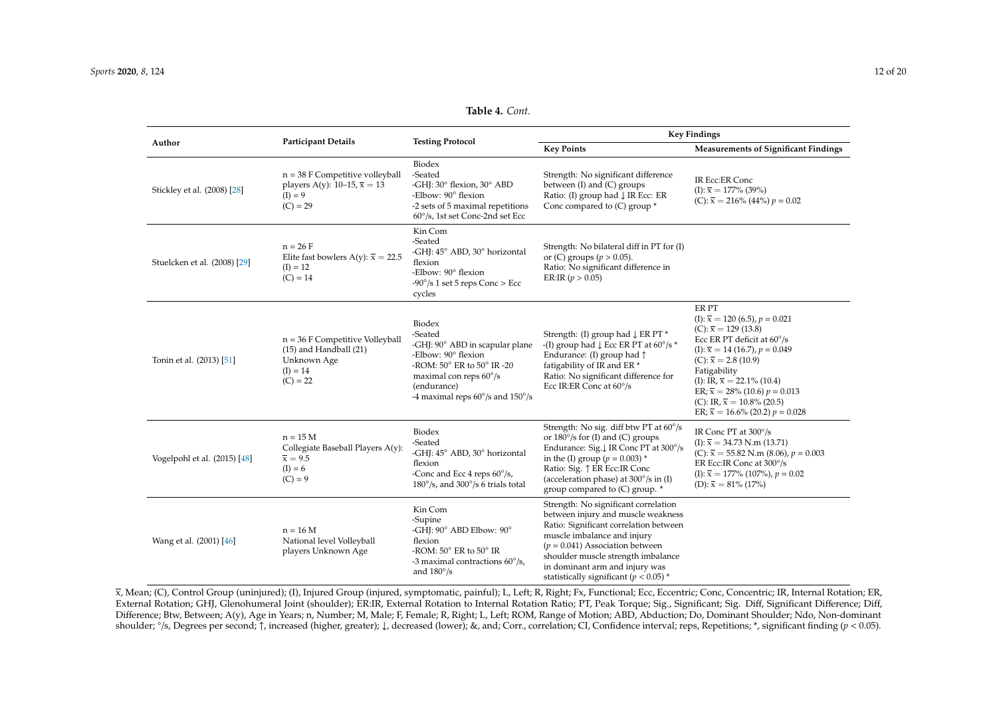|                              |                                                                                                            |                                                                                                                                                                                                          | <b>Key Findings</b>                                                                                                                                                                                                                                                                                            |                                                                                                                                                                                                                                                                                                                                                                                      |  |  |  |
|------------------------------|------------------------------------------------------------------------------------------------------------|----------------------------------------------------------------------------------------------------------------------------------------------------------------------------------------------------------|----------------------------------------------------------------------------------------------------------------------------------------------------------------------------------------------------------------------------------------------------------------------------------------------------------------|--------------------------------------------------------------------------------------------------------------------------------------------------------------------------------------------------------------------------------------------------------------------------------------------------------------------------------------------------------------------------------------|--|--|--|
| Author                       | <b>Participant Details</b>                                                                                 | <b>Testing Protocol</b>                                                                                                                                                                                  | <b>Key Points</b>                                                                                                                                                                                                                                                                                              | <b>Measurements of Significant Findings</b>                                                                                                                                                                                                                                                                                                                                          |  |  |  |
| Stickley et al. (2008) [28]  | $n = 38$ F Competitive volleyball<br>players A(y): $10-15$ , $\bar{x} = 13$<br>$(I) = 9$<br>$(C) = 29$     | Biodex<br>-Seated<br>-GHJ: 30° flexion, 30° ABD<br>-Elbow: 90° flexion<br>-2 sets of 5 maximal repetitions<br>60°/s, 1st set Conc-2nd set Ecc                                                            | Strength: No significant difference<br>between (I) and (C) groups<br>Ratio: (I) group had ↓ IR Ecc: ER<br>Conc compared to (C) group *                                                                                                                                                                         | IR Ecc:ER Conc<br>$(I): \bar{x} = 177\%$ (39%)<br>(C): $\bar{x} = 216\%$ (44%) $p = 0.02$                                                                                                                                                                                                                                                                                            |  |  |  |
| Stuelcken et al. (2008) [29] | $n = 26 F$<br>Elite fast bowlers A(y): $\bar{x} = 22.5$<br>$(I) = 12$<br>$(C) = 14$                        | Kin Com<br>-Seated<br>-GHJ: 45° ABD, 30° horizontal<br>flexion<br>-Elbow: 90° flexion<br>$-90^{\circ}/s$ 1 set 5 reps Conc > Ecc<br>cycles                                                               | Strength: No bilateral diff in PT for (I)<br>or (C) groups ( $p > 0.05$ ).<br>Ratio: No significant difference in<br>ER:IR ( $p > 0.05$ )                                                                                                                                                                      |                                                                                                                                                                                                                                                                                                                                                                                      |  |  |  |
| Tonin et al. (2013) [51]     | $n = 36$ F Competitive Volleyball<br>$(15)$ and Handball $(21)$<br>Unknown Age<br>$(I) = 14$<br>$(C) = 22$ | Biodex<br>-Seated<br>-GHJ: 90° ABD in scapular plane<br>-Elbow: 90° flexion<br>-ROM: 50° ER to 50° IR -20<br>maximal con reps 60°/s<br>(endurance)<br>-4 maximal reps $60^{\circ}/s$ and $150^{\circ}/s$ | Strength: (I) group had ↓ ER PT *<br>-(I) group had $\downarrow$ Ecc ER PT at 60 $\degree$ /s *<br>Endurance: (I) group had $\uparrow$<br>fatigability of IR and ER <sup>*</sup><br>Ratio: No significant difference for<br>Ecc IR:ER Conc at 60°/s                                                            | ER PT<br>(I): $\bar{x}$ = 120 (6.5), $p$ = 0.021<br>(C): $\bar{x} = 129$ (13.8)<br>Ecc ER PT deficit at $60^{\circ}/s$<br>(I): $\bar{x}$ = 14 (16.7), $p$ = 0.049<br>(C): $\bar{x}$ = 2.8 (10.9)<br>Fatigability<br>(I): IR, $\bar{x} = 22.1\%$ (10.4)<br>$ER; \bar{x} = 28\%$ (10.6) $p = 0.013$<br>(C): IR, $\bar{x} = 10.8\%$ (20.5)<br>$ER; \bar{x} = 16.6\%$ (20.2) $p = 0.028$ |  |  |  |
| Vogelpohl et al. (2015) [48] | $n = 15 M$<br>Collegiate Baseball Players A(y):<br>$\overline{x} = 9.5$<br>$(I) = 6$<br>$(C) = 9$          | Biodex<br>-Seated<br>-GHJ: 45° ABD, 30° horizontal<br>flexion<br>-Conc and Ecc 4 reps 60°/s,<br>$180^{\circ}/s$ , and $300^{\circ}/s$ 6 trials total                                                     | Strength: No sig. diff btw PT at 60°/s<br>or $180^{\circ}/s$ for (I) and (C) groups<br>Endurance: Sig.↓ IR Conc PT at 300°/s<br>in the (I) group ( $p = 0.003$ ) *<br>Ratio: Sig. ↑ ER Ecc:IR Conc<br>(acceleration phase) at $300^{\circ}/s$ in (I)<br>group compared to $(C)$ group. $*$                     | IR Conc PT at 300°/s<br>$(I): \bar{x} = 34.73$ N.m (13.71)<br>(C): $\bar{x} = 55.82$ N.m (8.06), $p = 0.003$<br>ER Ecc:IR Conc at 300°/s<br>$(I): \bar{x} = 177\% (107\%)$ , $p = 0.02$<br>(D): $\bar{x} = 81\%$ (17%)                                                                                                                                                               |  |  |  |
| Wang et al. (2001) [46]      | $n = 16 M$<br>National level Volleyball<br>players Unknown Age                                             | Kin Com<br>-Supine<br>-GHJ: 90° ABD Elbow: 90°<br>flexion<br>-ROM: $50^\circ$ ER to $50^\circ$ IR<br>-3 maximal contractions 60°/s,<br>and $180^{\circ}/s$                                               | Strength: No significant correlation<br>between injury and muscle weakness<br>Ratio: Significant correlation between<br>muscle imbalance and injury<br>$(p = 0.041)$ Association between<br>shoulder muscle strength imbalance<br>in dominant arm and injury was<br>statistically significant ( $p < 0.05$ ) * |                                                                                                                                                                                                                                                                                                                                                                                      |  |  |  |

**Table 4.** *Cont.*

<span id="page-11-0"></span> $\bar{x}$ , Mean; (C), Control Group (uninjured); (I), Injured Group (injured, symptomatic, painful); L, Left; R, Right; Fx, Functional; Ecc, Eccentric; Conc, Concentric; IR, Internal Rotation; ER, External Rotation; GHJ, Glenohumeral Joint (shoulder); ER:IR, External Rotation to Internal Rotation Ratio; PT, Peak Torque; Sig., Significant; Sig. Diff, Significant Difference; Diff, Difference; Btw, Between; A(y), Age in Years; n, Number; M, Male; F, Female; R, Right; L, Left; ROM, Range of Motion; ABD, Abduction; Do, Dominant Shoulder; Ndo, Non-dominant shoulder; ◦ /s, Degrees per second; ↑, increased (higher, greater); ↓, decreased (lower); &, and; Corr., correlation; CI, Confidence interval; reps, Repetitions; \*, significant finding (*p* < 0.05).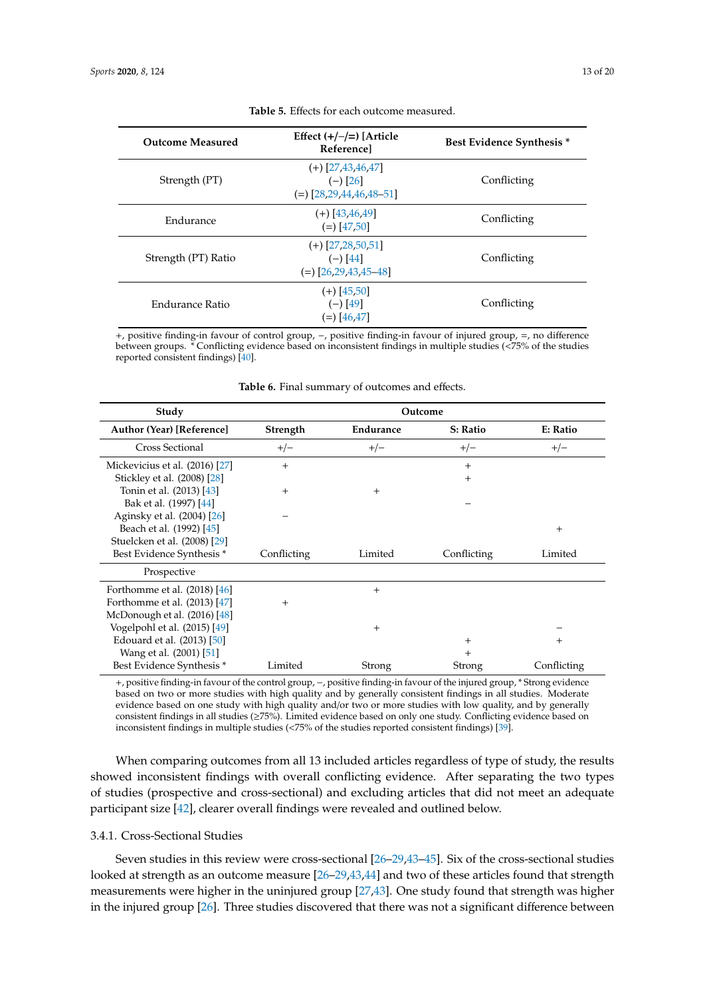<span id="page-12-0"></span>

| <b>Outcome Measured</b> | Effect $(+/-/=)$ [Article<br>Referencel                        | <b>Best Evidence Synthesis *</b> |
|-------------------------|----------------------------------------------------------------|----------------------------------|
| Strength (PT)           | $(+)$ [27,43,46,47]<br>$(-)$ [26]<br>$(=)$ [28,29,44,46,48-51] | Conflicting                      |
| Endurance               | $(+)$ [43,46,49]<br>$(=)$ [47,50]                              | Conflicting                      |
| Strength (PT) Ratio     | $(+)$ [27,28,50,51]<br>$(-)$ [44]<br>$(=)$ [26,29,43,45-48]    | Conflicting                      |
| Endurance Ratio         | $(+)$ [45,50]<br>$(-)$ [49]<br>$(=)$ [46,47]                   | Conflicting                      |

**Table 5.** Effects for each outcome measured.

+, positive finding-in favour of control group, −, positive finding-in favour of injured group, =, no difference between groups. *\** Conflicting evidence based on inconsistent findings in multiple studies (<75% of the studies reported consistent findings) [\[40\]](#page-18-14).

<span id="page-12-1"></span>

| Study                                |                 |           | Outcome     |              |
|--------------------------------------|-----------------|-----------|-------------|--------------|
| Author (Year) [Reference]            | <b>Strength</b> | Endurance | S: Ratio    | E: Ratio     |
| Cross Sectional                      | $+/-$           | $+/-$     | $+/-$       | $+/-$        |
| Mickevicius et al. (2016) [27]       | $+$             |           | $^{+}$      |              |
| Stickley et al. (2008) [28]          |                 |           | $+$         |              |
| Tonin et al. (2013) [43]             | $^{+}$          | $^{+}$    |             |              |
| Bak et al. (1997) [44]               |                 |           |             |              |
| Aginsky et al. (2004) [26]           |                 |           |             |              |
| Beach et al. (1992) [45]             |                 |           |             | $^{+}$       |
| Stuelcken et al. (2008) [29]         |                 |           |             |              |
| Best Evidence Synthesis <sup>*</sup> | Conflicting     | Limited   | Conflicting | Limited      |
| Prospective                          |                 |           |             |              |
| Forthomme et al. $(2018)$ [46]       |                 | $^{+}$    |             |              |
| Forthomme et al. (2013) [47]         | $^{+}$          |           |             |              |
| McDonough et al. (2016) [48]         |                 |           |             |              |
| Vogelpohl et al. (2015) [49]         |                 | $^{+}$    |             |              |
| Edouard et al. (2013) [50]           |                 |           | $^{+}$      | $\,{}^{+}\,$ |
| Wang et al. (2001) [51]              |                 |           | $+$         |              |
| Best Evidence Synthesis <sup>*</sup> | Limited         | Strong    | Strong      | Conflicting  |

| Table 6. Final summary of outcomes and effects. |  |
|-------------------------------------------------|--|
|-------------------------------------------------|--|

+, positive finding-in favour of the control group, −, positive finding-in favour of the injured group, \* Strong evidence based on two or more studies with high quality and by generally consistent findings in all studies. Moderate evidence based on one study with high quality and/or two or more studies with low quality, and by generally consistent findings in all studies (≥75%). Limited evidence based on only one study. Conflicting evidence based on inconsistent findings in multiple studies (<75% of the studies reported consistent findings) [\[39\]](#page-18-13).

When comparing outcomes from all 13 included articles regardless of type of study, the results showed inconsistent findings with overall conflicting evidence. After separating the two types of studies (prospective and cross-sectional) and excluding articles that did not meet an adequate participant size [\[42\]](#page-18-16), clearer overall findings were revealed and outlined below.

## 3.4.1. Cross-Sectional Studies

Seven studies in this review were cross-sectional [\[26](#page-18-2)[–29,](#page-18-3)[43–](#page-18-24)[45\]](#page-18-25). Six of the cross-sectional studies looked at strength as an outcome measure [\[26–](#page-18-2)[29](#page-18-3)[,43](#page-18-24)[,44\]](#page-18-27) and two of these articles found that strength measurements were higher in the uninjured group [\[27,](#page-18-28)[43\]](#page-18-24). One study found that strength was higher in the injured group [\[26\]](#page-18-2). Three studies discovered that there was not a significant difference between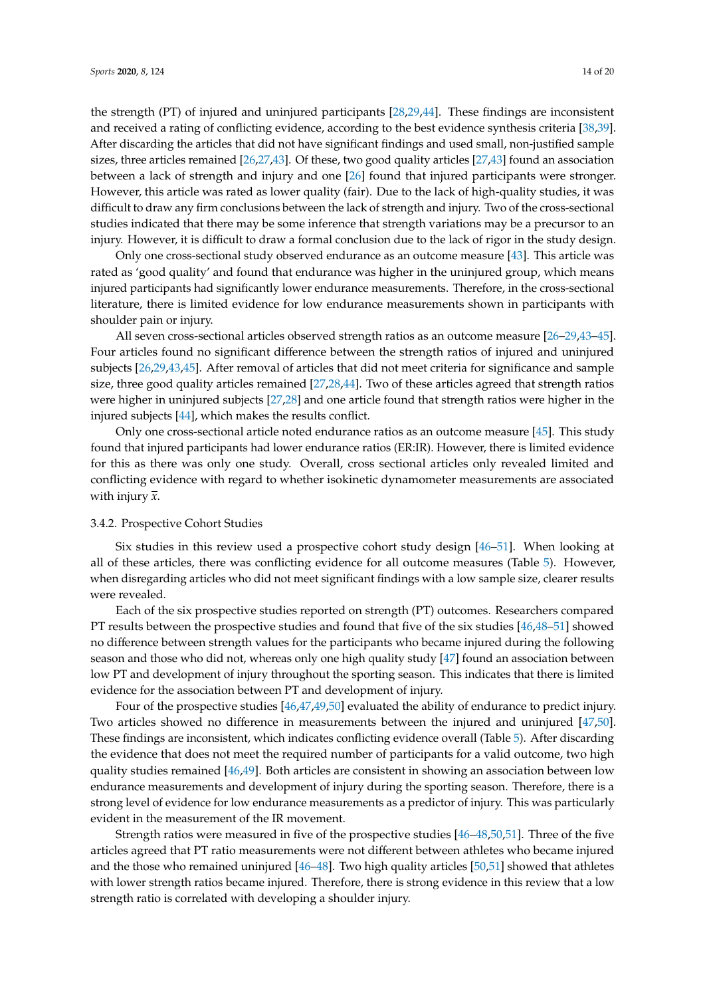the strength (PT) of injured and uninjured participants [\[28](#page-18-29)[,29](#page-18-3)[,44\]](#page-18-27). These findings are inconsistent and received a rating of conflicting evidence, according to the best evidence synthesis criteria [\[38,](#page-18-12)[39\]](#page-18-13). After discarding the articles that did not have significant findings and used small, non-justified sample sizes, three articles remained [\[26,](#page-18-2)[27](#page-18-28)[,43\]](#page-18-24). Of these, two good quality articles [\[27](#page-18-28)[,43\]](#page-18-24) found an association between a lack of strength and injury and one [\[26\]](#page-18-2) found that injured participants were stronger. However, this article was rated as lower quality (fair). Due to the lack of high-quality studies, it was difficult to draw any firm conclusions between the lack of strength and injury. Two of the cross-sectional studies indicated that there may be some inference that strength variations may be a precursor to an injury. However, it is difficult to draw a formal conclusion due to the lack of rigor in the study design.

Only one cross-sectional study observed endurance as an outcome measure [\[43\]](#page-18-24). This article was rated as 'good quality' and found that endurance was higher in the uninjured group, which means injured participants had significantly lower endurance measurements. Therefore, in the cross-sectional literature, there is limited evidence for low endurance measurements shown in participants with shoulder pain or injury.

All seven cross-sectional articles observed strength ratios as an outcome measure [\[26](#page-18-2)[–29,](#page-18-3)[43–](#page-18-24)[45\]](#page-18-25). Four articles found no significant difference between the strength ratios of injured and uninjured subjects [\[26](#page-18-2)[,29](#page-18-3)[,43](#page-18-24)[,45\]](#page-18-25). After removal of articles that did not meet criteria for significance and sample size, three good quality articles remained [\[27,](#page-18-28)[28](#page-18-29)[,44\]](#page-18-27). Two of these articles agreed that strength ratios were higher in uninjured subjects [\[27,](#page-18-28)[28\]](#page-18-29) and one article found that strength ratios were higher in the injured subjects [\[44\]](#page-18-27), which makes the results conflict.

Only one cross-sectional article noted endurance ratios as an outcome measure [\[45\]](#page-18-25). This study found that injured participants had lower endurance ratios (ER:IR). However, there is limited evidence for this as there was only one study. Overall, cross sectional articles only revealed limited and conflicting evidence with regard to whether isokinetic dynamometer measurements are associated with injury *x*.

## 3.4.2. Prospective Cohort Studies

Six studies in this review used a prospective cohort study design [\[46–](#page-18-26)[51\]](#page-19-9). When looking at all of these articles, there was conflicting evidence for all outcome measures (Table [5\)](#page-12-0). However, when disregarding articles who did not meet significant findings with a low sample size, clearer results were revealed.

Each of the six prospective studies reported on strength (PT) outcomes. Researchers compared PT results between the prospective studies and found that five of the six studies [\[46,](#page-18-26)[48](#page-19-5)[–51\]](#page-19-9) showed no difference between strength values for the participants who became injured during the following season and those who did not, whereas only one high quality study [\[47\]](#page-19-6) found an association between low PT and development of injury throughout the sporting season. This indicates that there is limited evidence for the association between PT and development of injury.

Four of the prospective studies [\[46](#page-18-26)[,47](#page-19-6)[,49](#page-19-8)[,50\]](#page-19-7) evaluated the ability of endurance to predict injury. Two articles showed no difference in measurements between the injured and uninjured [\[47,](#page-19-6)[50\]](#page-19-7). These findings are inconsistent, which indicates conflicting evidence overall (Table [5\)](#page-12-0). After discarding the evidence that does not meet the required number of participants for a valid outcome, two high quality studies remained [\[46,](#page-18-26)[49\]](#page-19-8). Both articles are consistent in showing an association between low endurance measurements and development of injury during the sporting season. Therefore, there is a strong level of evidence for low endurance measurements as a predictor of injury. This was particularly evident in the measurement of the IR movement.

Strength ratios were measured in five of the prospective studies [\[46–](#page-18-26)[48](#page-19-5)[,50](#page-19-7)[,51\]](#page-19-9). Three of the five articles agreed that PT ratio measurements were not different between athletes who became injured and the those who remained uninjured [\[46](#page-18-26)[–48\]](#page-19-5). Two high quality articles [\[50](#page-19-7)[,51\]](#page-19-9) showed that athletes with lower strength ratios became injured. Therefore, there is strong evidence in this review that a low strength ratio is correlated with developing a shoulder injury.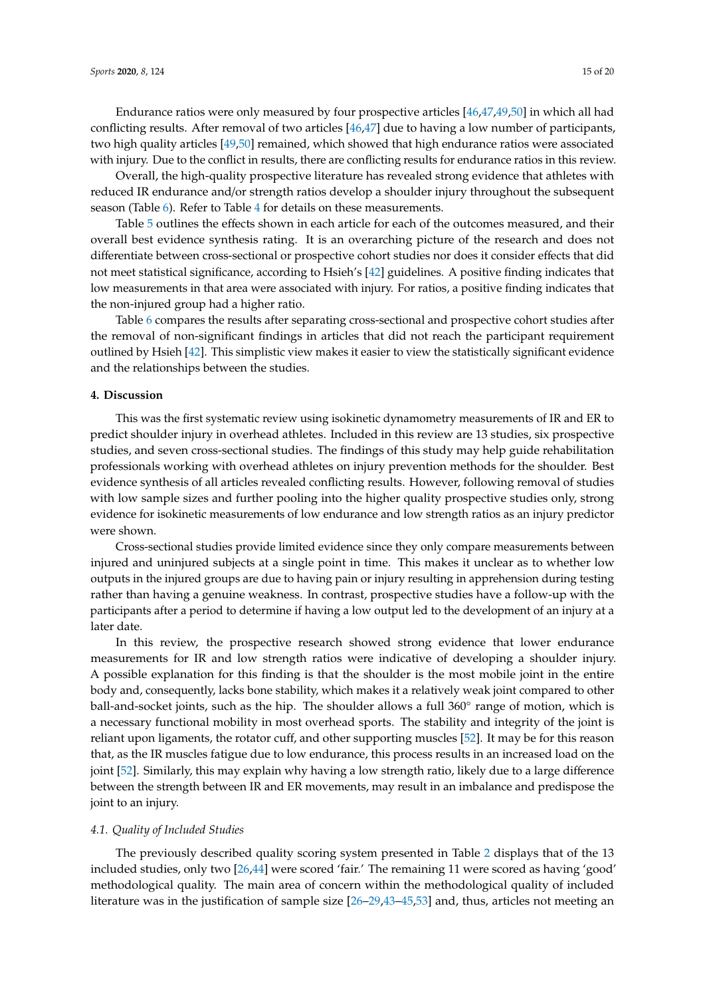Endurance ratios were only measured by four prospective articles [\[46,](#page-18-26)[47,](#page-19-6)[49,](#page-19-8)[50\]](#page-19-7) in which all had conflicting results. After removal of two articles [\[46](#page-18-26)[,47\]](#page-19-6) due to having a low number of participants, two high quality articles [\[49,](#page-19-8)[50\]](#page-19-7) remained, which showed that high endurance ratios were associated with injury. Due to the conflict in results, there are conflicting results for endurance ratios in this review.

Overall, the high-quality prospective literature has revealed strong evidence that athletes with reduced IR endurance and/or strength ratios develop a shoulder injury throughout the subsequent season (Table [6\)](#page-12-1). Refer to Table [4](#page-11-0) for details on these measurements.

Table [5](#page-12-0) outlines the effects shown in each article for each of the outcomes measured, and their overall best evidence synthesis rating. It is an overarching picture of the research and does not differentiate between cross-sectional or prospective cohort studies nor does it consider effects that did not meet statistical significance, according to Hsieh's [\[42\]](#page-18-16) guidelines. A positive finding indicates that low measurements in that area were associated with injury. For ratios, a positive finding indicates that the non-injured group had a higher ratio.

Table [6](#page-12-1) compares the results after separating cross-sectional and prospective cohort studies after the removal of non-significant findings in articles that did not reach the participant requirement outlined by Hsieh [\[42\]](#page-18-16). This simplistic view makes it easier to view the statistically significant evidence and the relationships between the studies.

## **4. Discussion**

This was the first systematic review using isokinetic dynamometry measurements of IR and ER to predict shoulder injury in overhead athletes. Included in this review are 13 studies, six prospective studies, and seven cross-sectional studies. The findings of this study may help guide rehabilitation professionals working with overhead athletes on injury prevention methods for the shoulder. Best evidence synthesis of all articles revealed conflicting results. However, following removal of studies with low sample sizes and further pooling into the higher quality prospective studies only, strong evidence for isokinetic measurements of low endurance and low strength ratios as an injury predictor were shown.

Cross-sectional studies provide limited evidence since they only compare measurements between injured and uninjured subjects at a single point in time. This makes it unclear as to whether low outputs in the injured groups are due to having pain or injury resulting in apprehension during testing rather than having a genuine weakness. In contrast, prospective studies have a follow-up with the participants after a period to determine if having a low output led to the development of an injury at a later date.

In this review, the prospective research showed strong evidence that lower endurance measurements for IR and low strength ratios were indicative of developing a shoulder injury. A possible explanation for this finding is that the shoulder is the most mobile joint in the entire body and, consequently, lacks bone stability, which makes it a relatively weak joint compared to other ball-and-socket joints, such as the hip. The shoulder allows a full 360◦ range of motion, which is a necessary functional mobility in most overhead sports. The stability and integrity of the joint is reliant upon ligaments, the rotator cuff, and other supporting muscles [\[52\]](#page-19-10). It may be for this reason that, as the IR muscles fatigue due to low endurance, this process results in an increased load on the joint [\[52\]](#page-19-10). Similarly, this may explain why having a low strength ratio, likely due to a large difference between the strength between IR and ER movements, may result in an imbalance and predispose the joint to an injury.

#### *4.1. Quality of Included Studies*

The previously described quality scoring system presented in Table [2](#page-6-0) displays that of the 13 included studies, only two [\[26,](#page-18-2)[44\]](#page-18-27) were scored 'fair.' The remaining 11 were scored as having 'good' methodological quality. The main area of concern within the methodological quality of included literature was in the justification of sample size [\[26](#page-18-2)[–29](#page-18-3)[,43–](#page-18-24)[45](#page-18-25)[,53\]](#page-19-11) and, thus, articles not meeting an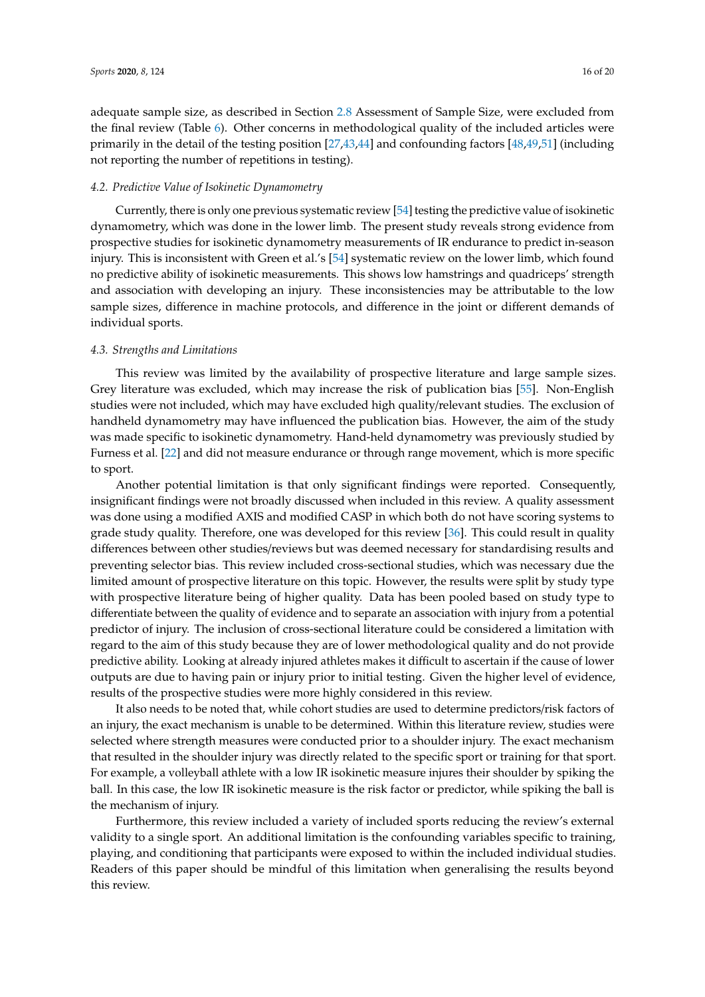adequate sample size, as described in Section [2.8](#page-5-0) Assessment of Sample Size, were excluded from the final review (Table [6\)](#page-12-1). Other concerns in methodological quality of the included articles were primarily in the detail of the testing position [\[27](#page-18-28)[,43](#page-18-24)[,44\]](#page-18-27) and confounding factors [\[48,](#page-19-5)[49,](#page-19-8)[51\]](#page-19-9) (including not reporting the number of repetitions in testing).

## *4.2. Predictive Value of Isokinetic Dynamometry*

Currently, there is only one previous systematic review [\[54\]](#page-19-12) testing the predictive value of isokinetic dynamometry, which was done in the lower limb. The present study reveals strong evidence from prospective studies for isokinetic dynamometry measurements of IR endurance to predict in-season injury. This is inconsistent with Green et al.'s [\[54\]](#page-19-12) systematic review on the lower limb, which found no predictive ability of isokinetic measurements. This shows low hamstrings and quadriceps' strength and association with developing an injury. These inconsistencies may be attributable to the low sample sizes, difference in machine protocols, and difference in the joint or different demands of individual sports.

#### *4.3. Strengths and Limitations*

This review was limited by the availability of prospective literature and large sample sizes. Grey literature was excluded, which may increase the risk of publication bias [\[55\]](#page-19-13). Non-English studies were not included, which may have excluded high quality/relevant studies. The exclusion of handheld dynamometry may have influenced the publication bias. However, the aim of the study was made specific to isokinetic dynamometry. Hand-held dynamometry was previously studied by Furness et al. [\[22\]](#page-17-18) and did not measure endurance or through range movement, which is more specific to sport.

Another potential limitation is that only significant findings were reported. Consequently, insignificant findings were not broadly discussed when included in this review. A quality assessment was done using a modified AXIS and modified CASP in which both do not have scoring systems to grade study quality. Therefore, one was developed for this review [\[36\]](#page-18-10). This could result in quality differences between other studies/reviews but was deemed necessary for standardising results and preventing selector bias. This review included cross-sectional studies, which was necessary due the limited amount of prospective literature on this topic. However, the results were split by study type with prospective literature being of higher quality. Data has been pooled based on study type to differentiate between the quality of evidence and to separate an association with injury from a potential predictor of injury. The inclusion of cross-sectional literature could be considered a limitation with regard to the aim of this study because they are of lower methodological quality and do not provide predictive ability. Looking at already injured athletes makes it difficult to ascertain if the cause of lower outputs are due to having pain or injury prior to initial testing. Given the higher level of evidence, results of the prospective studies were more highly considered in this review.

It also needs to be noted that, while cohort studies are used to determine predictors/risk factors of an injury, the exact mechanism is unable to be determined. Within this literature review, studies were selected where strength measures were conducted prior to a shoulder injury. The exact mechanism that resulted in the shoulder injury was directly related to the specific sport or training for that sport. For example, a volleyball athlete with a low IR isokinetic measure injures their shoulder by spiking the ball. In this case, the low IR isokinetic measure is the risk factor or predictor, while spiking the ball is the mechanism of injury.

Furthermore, this review included a variety of included sports reducing the review's external validity to a single sport. An additional limitation is the confounding variables specific to training, playing, and conditioning that participants were exposed to within the included individual studies. Readers of this paper should be mindful of this limitation when generalising the results beyond this review.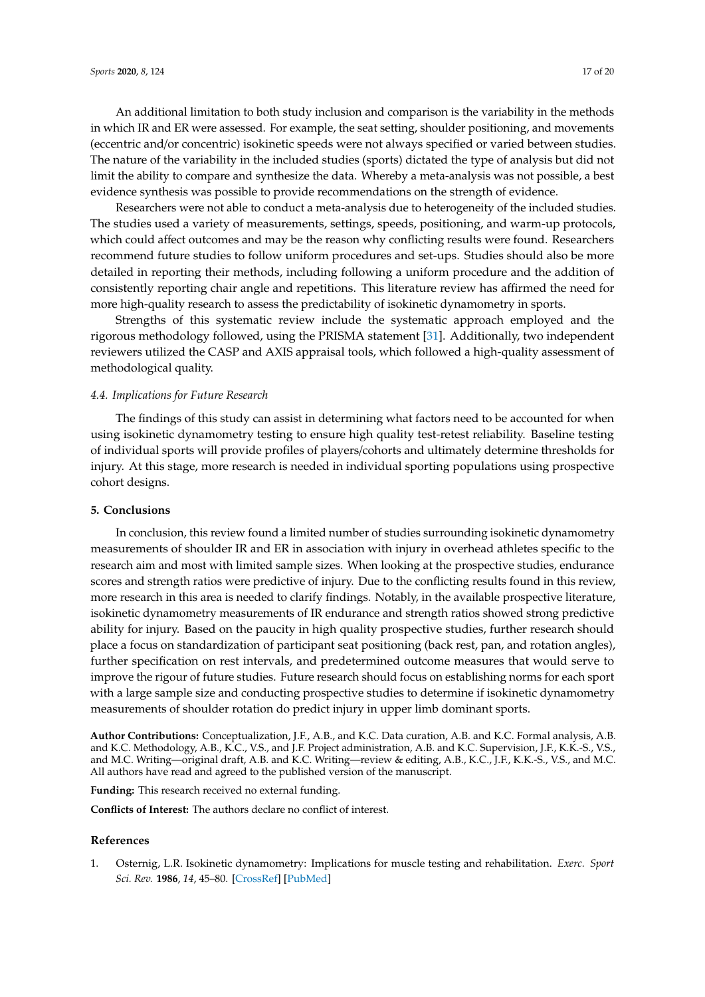An additional limitation to both study inclusion and comparison is the variability in the methods in which IR and ER were assessed. For example, the seat setting, shoulder positioning, and movements (eccentric and/or concentric) isokinetic speeds were not always specified or varied between studies. The nature of the variability in the included studies (sports) dictated the type of analysis but did not limit the ability to compare and synthesize the data. Whereby a meta-analysis was not possible, a best evidence synthesis was possible to provide recommendations on the strength of evidence.

Researchers were not able to conduct a meta-analysis due to heterogeneity of the included studies. The studies used a variety of measurements, settings, speeds, positioning, and warm-up protocols, which could affect outcomes and may be the reason why conflicting results were found. Researchers recommend future studies to follow uniform procedures and set-ups. Studies should also be more detailed in reporting their methods, including following a uniform procedure and the addition of consistently reporting chair angle and repetitions. This literature review has affirmed the need for more high-quality research to assess the predictability of isokinetic dynamometry in sports.

Strengths of this systematic review include the systematic approach employed and the rigorous methodology followed, using the PRISMA statement [\[31\]](#page-18-5). Additionally, two independent reviewers utilized the CASP and AXIS appraisal tools, which followed a high-quality assessment of methodological quality.

## *4.4. Implications for Future Research*

The findings of this study can assist in determining what factors need to be accounted for when using isokinetic dynamometry testing to ensure high quality test-retest reliability. Baseline testing of individual sports will provide profiles of players/cohorts and ultimately determine thresholds for injury. At this stage, more research is needed in individual sporting populations using prospective cohort designs.

## **5. Conclusions**

In conclusion, this review found a limited number of studies surrounding isokinetic dynamometry measurements of shoulder IR and ER in association with injury in overhead athletes specific to the research aim and most with limited sample sizes. When looking at the prospective studies, endurance scores and strength ratios were predictive of injury. Due to the conflicting results found in this review, more research in this area is needed to clarify findings. Notably, in the available prospective literature, isokinetic dynamometry measurements of IR endurance and strength ratios showed strong predictive ability for injury. Based on the paucity in high quality prospective studies, further research should place a focus on standardization of participant seat positioning (back rest, pan, and rotation angles), further specification on rest intervals, and predetermined outcome measures that would serve to improve the rigour of future studies. Future research should focus on establishing norms for each sport with a large sample size and conducting prospective studies to determine if isokinetic dynamometry measurements of shoulder rotation do predict injury in upper limb dominant sports.

**Author Contributions:** Conceptualization, J.F., A.B., and K.C. Data curation, A.B. and K.C. Formal analysis, A.B. and K.C. Methodology, A.B., K.C., V.S., and J.F. Project administration, A.B. and K.C. Supervision, J.F., K.K.-S., V.S., and M.C. Writing—original draft, A.B. and K.C. Writing—review & editing, A.B., K.C., J.F., K.K.-S., V.S., and M.C. All authors have read and agreed to the published version of the manuscript.

**Funding:** This research received no external funding.

**Conflicts of Interest:** The authors declare no conflict of interest.

#### **References**

<span id="page-16-0"></span>1. Osternig, L.R. Isokinetic dynamometry: Implications for muscle testing and rehabilitation. *Exerc. Sport Sci. Rev.* **1986**, *14*, 45–80. [\[CrossRef\]](http://dx.doi.org/10.1249/00003677-198600140-00005) [\[PubMed\]](http://www.ncbi.nlm.nih.gov/pubmed/3525192)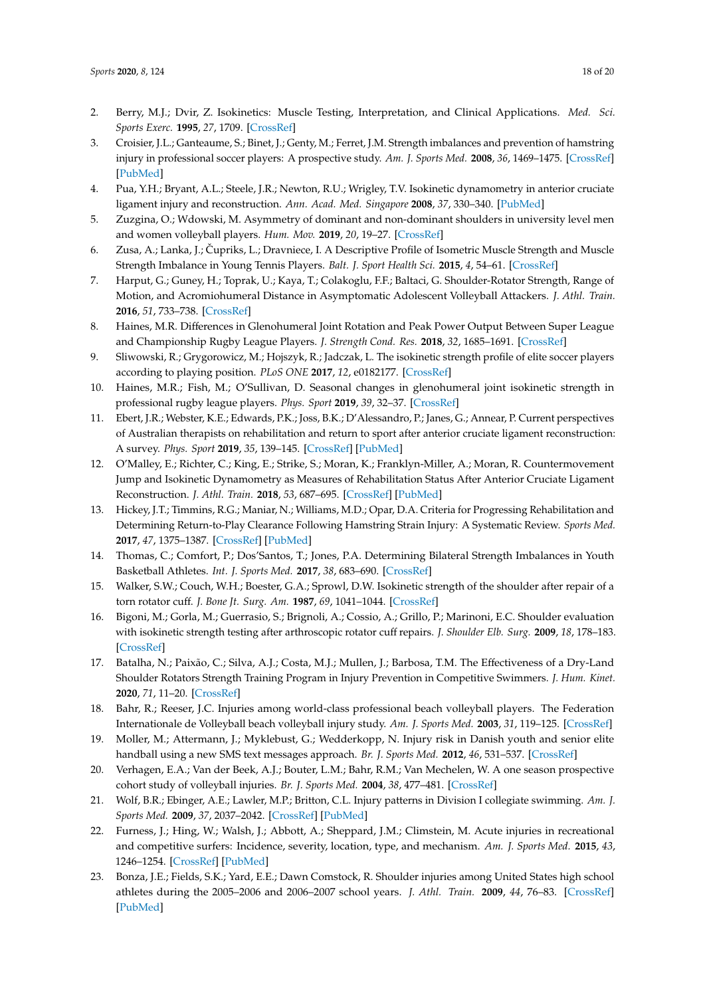- <span id="page-17-0"></span>2. Berry, M.J.; Dvir, Z. Isokinetics: Muscle Testing, Interpretation, and Clinical Applications. *Med. Sci. Sports Exerc.* **1995**, *27*, 1709. [\[CrossRef\]](http://dx.doi.org/10.1249/00005768-199512000-00020)
- <span id="page-17-1"></span>3. Croisier, J.L.; Ganteaume, S.; Binet, J.; Genty, M.; Ferret, J.M. Strength imbalances and prevention of hamstring injury in professional soccer players: A prospective study. *Am. J. Sports Med.* **2008**, *36*, 1469–1475. [\[CrossRef\]](http://dx.doi.org/10.1177/0363546508316764) [\[PubMed\]](http://www.ncbi.nlm.nih.gov/pubmed/18448578)
- <span id="page-17-2"></span>4. Pua, Y.H.; Bryant, A.L.; Steele, J.R.; Newton, R.U.; Wrigley, T.V. Isokinetic dynamometry in anterior cruciate ligament injury and reconstruction. *Ann. Acad. Med. Singapore* **2008**, *37*, 330–340. [\[PubMed\]](http://www.ncbi.nlm.nih.gov/pubmed/18461219)
- <span id="page-17-3"></span>5. Zuzgina, O.; Wdowski, M. Asymmetry of dominant and non-dominant shoulders in university level men and women volleyball players. *Hum. Mov.* **2019**, *20*, 19–27. [\[CrossRef\]](http://dx.doi.org/10.5114/hm.2019.85095)
- 6. Zusa, A.; Lanka, J.; Cupriks, L.; Dravniece, I. A Descriptive Profile of Isometric Muscle Strength and Muscle Strength Imbalance in Young Tennis Players. *Balt. J. Sport Health Sci.* **2015**, *4*, 54–61. [\[CrossRef\]](http://dx.doi.org/10.33607/bjshs.v4i99.103)
- <span id="page-17-4"></span>7. Harput, G.; Guney, H.; Toprak, U.; Kaya, T.; Colakoglu, F.F.; Baltaci, G. Shoulder-Rotator Strength, Range of Motion, and Acromiohumeral Distance in Asymptomatic Adolescent Volleyball Attackers. *J. Athl. Train.* **2016**, *51*, 733–738. [\[CrossRef\]](http://dx.doi.org/10.4085/1062-6050-51.12.04)
- <span id="page-17-5"></span>8. Haines, M.R. Differences in Glenohumeral Joint Rotation and Peak Power Output Between Super League and Championship Rugby League Players. *J. Strength Cond. Res.* **2018**, *32*, 1685–1691. [\[CrossRef\]](http://dx.doi.org/10.1519/JSC.0000000000002029)
- <span id="page-17-6"></span>9. Sliwowski, R.; Grygorowicz, M.; Hojszyk, R.; Jadczak, L. The isokinetic strength profile of elite soccer players according to playing position. *PLoS ONE* **2017**, *12*, e0182177. [\[CrossRef\]](http://dx.doi.org/10.1371/journal.pone.0182177)
- <span id="page-17-7"></span>10. Haines, M.R.; Fish, M.; O'Sullivan, D. Seasonal changes in glenohumeral joint isokinetic strength in professional rugby league players. *Phys. Sport* **2019**, *39*, 32–37. [\[CrossRef\]](http://dx.doi.org/10.1016/j.ptsp.2019.06.005)
- <span id="page-17-8"></span>11. Ebert, J.R.; Webster, K.E.; Edwards, P.K.; Joss, B.K.; D'Alessandro, P.; Janes, G.; Annear, P. Current perspectives of Australian therapists on rehabilitation and return to sport after anterior cruciate ligament reconstruction: A survey. *Phys. Sport* **2019**, *35*, 139–145. [\[CrossRef\]](http://dx.doi.org/10.1016/j.ptsp.2018.12.004) [\[PubMed\]](http://www.ncbi.nlm.nih.gov/pubmed/30557764)
- <span id="page-17-9"></span>12. O'Malley, E.; Richter, C.; King, E.; Strike, S.; Moran, K.; Franklyn-Miller, A.; Moran, R. Countermovement Jump and Isokinetic Dynamometry as Measures of Rehabilitation Status After Anterior Cruciate Ligament Reconstruction. *J. Athl. Train.* **2018**, *53*, 687–695. [\[CrossRef\]](http://dx.doi.org/10.4085/1062-6050-480-16) [\[PubMed\]](http://www.ncbi.nlm.nih.gov/pubmed/30109947)
- <span id="page-17-10"></span>13. Hickey, J.T.; Timmins, R.G.; Maniar, N.; Williams, M.D.; Opar, D.A. Criteria for Progressing Rehabilitation and Determining Return-to-Play Clearance Following Hamstring Strain Injury: A Systematic Review. *Sports Med.* **2017**, *47*, 1375–1387. [\[CrossRef\]](http://dx.doi.org/10.1007/s40279-016-0667-x) [\[PubMed\]](http://www.ncbi.nlm.nih.gov/pubmed/28035586)
- <span id="page-17-11"></span>14. Thomas, C.; Comfort, P.; Dos'Santos, T.; Jones, P.A. Determining Bilateral Strength Imbalances in Youth Basketball Athletes. *Int. J. Sports Med.* **2017**, *38*, 683–690. [\[CrossRef\]](http://dx.doi.org/10.1055/s-0043-112340)
- <span id="page-17-12"></span>15. Walker, S.W.; Couch, W.H.; Boester, G.A.; Sprowl, D.W. Isokinetic strength of the shoulder after repair of a torn rotator cuff. *J. Bone Jt. Surg. Am.* **1987**, *69*, 1041–1044. [\[CrossRef\]](http://dx.doi.org/10.2106/00004623-198769070-00012)
- 16. Bigoni, M.; Gorla, M.; Guerrasio, S.; Brignoli, A.; Cossio, A.; Grillo, P.; Marinoni, E.C. Shoulder evaluation with isokinetic strength testing after arthroscopic rotator cuff repairs. *J. Shoulder Elb. Surg.* **2009**, *18*, 178–183. [\[CrossRef\]](http://dx.doi.org/10.1016/j.jse.2008.09.002)
- <span id="page-17-13"></span>17. Batalha, N.; Paixão, C.; Silva, A.J.; Costa, M.J.; Mullen, J.; Barbosa, T.M. The Effectiveness of a Dry-Land Shoulder Rotators Strength Training Program in Injury Prevention in Competitive Swimmers. *J. Hum. Kinet.* **2020**, *71*, 11–20. [\[CrossRef\]](http://dx.doi.org/10.2478/hukin-2019-0093)
- <span id="page-17-14"></span>18. Bahr, R.; Reeser, J.C. Injuries among world-class professional beach volleyball players. The Federation Internationale de Volleyball beach volleyball injury study. *Am. J. Sports Med.* **2003**, *31*, 119–125. [\[CrossRef\]](http://dx.doi.org/10.1177/03635465030310010401)
- <span id="page-17-16"></span>19. Moller, M.; Attermann, J.; Myklebust, G.; Wedderkopp, N. Injury risk in Danish youth and senior elite handball using a new SMS text messages approach. *Br. J. Sports Med.* **2012**, *46*, 531–537. [\[CrossRef\]](http://dx.doi.org/10.1136/bjsports-2012-091022)
- <span id="page-17-15"></span>20. Verhagen, E.A.; Van der Beek, A.J.; Bouter, L.M.; Bahr, R.M.; Van Mechelen, W. A one season prospective cohort study of volleyball injuries. *Br. J. Sports Med.* **2004**, *38*, 477–481. [\[CrossRef\]](http://dx.doi.org/10.1136/bjsm.2003.005785)
- <span id="page-17-17"></span>21. Wolf, B.R.; Ebinger, A.E.; Lawler, M.P.; Britton, C.L. Injury patterns in Division I collegiate swimming. *Am. J. Sports Med.* **2009**, *37*, 2037–2042. [\[CrossRef\]](http://dx.doi.org/10.1177/0363546509339364) [\[PubMed\]](http://www.ncbi.nlm.nih.gov/pubmed/19633232)
- <span id="page-17-18"></span>22. Furness, J.; Hing, W.; Walsh, J.; Abbott, A.; Sheppard, J.M.; Climstein, M. Acute injuries in recreational and competitive surfers: Incidence, severity, location, type, and mechanism. *Am. J. Sports Med.* **2015**, *43*, 1246–1254. [\[CrossRef\]](http://dx.doi.org/10.1177/0363546514567062) [\[PubMed\]](http://www.ncbi.nlm.nih.gov/pubmed/25646362)
- <span id="page-17-19"></span>23. Bonza, J.E.; Fields, S.K.; Yard, E.E.; Dawn Comstock, R. Shoulder injuries among United States high school athletes during the 2005–2006 and 2006–2007 school years. *J. Athl. Train.* **2009**, *44*, 76–83. [\[CrossRef\]](http://dx.doi.org/10.4085/1062-6050-44.1.76) [\[PubMed\]](http://www.ncbi.nlm.nih.gov/pubmed/19180222)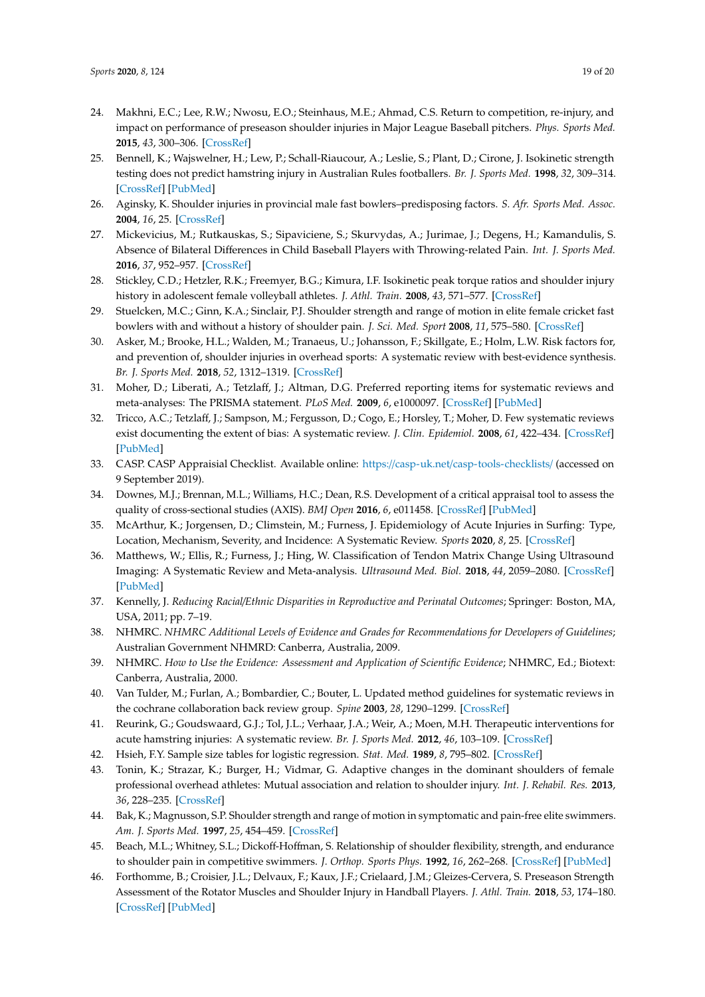- <span id="page-18-22"></span><span id="page-18-21"></span><span id="page-18-18"></span><span id="page-18-17"></span><span id="page-18-0"></span>24. Makhni, E.C.; Lee, R.W.; Nwosu, E.O.; Steinhaus, M.E.; Ahmad, C.S. Return to competition, re-injury, and impact on performance of preseason shoulder injuries in Major League Baseball pitchers. *Phys. Sports Med.* **2015**, *43*, 300–306. [\[CrossRef\]](http://dx.doi.org/10.1080/00913847.2015.1050952)
- <span id="page-18-1"></span>25. Bennell, K.; Wajswelner, H.; Lew, P.; Schall-Riaucour, A.; Leslie, S.; Plant, D.; Cirone, J. Isokinetic strength testing does not predict hamstring injury in Australian Rules footballers. *Br. J. Sports Med.* **1998**, *32*, 309–314. [\[CrossRef\]](http://dx.doi.org/10.1136/bjsm.32.4.309) [\[PubMed\]](http://www.ncbi.nlm.nih.gov/pubmed/9865403)
- <span id="page-18-2"></span>26. Aginsky, K. Shoulder injuries in provincial male fast bowlers–predisposing factors. *S. Afr. Sports Med. Assoc.* **2004**, *16*, 25. [\[CrossRef\]](http://dx.doi.org/10.17159/2078-516X/2004/v16i1a190)
- <span id="page-18-28"></span>27. Mickevicius, M.; Rutkauskas, S.; Sipaviciene, S.; Skurvydas, A.; Jurimae, J.; Degens, H.; Kamandulis, S. Absence of Bilateral Differences in Child Baseball Players with Throwing-related Pain. *Int. J. Sports Med.* **2016**, *37*, 952–957. [\[CrossRef\]](http://dx.doi.org/10.1055/s-0042-106297)
- <span id="page-18-29"></span>28. Stickley, C.D.; Hetzler, R.K.; Freemyer, B.G.; Kimura, I.F. Isokinetic peak torque ratios and shoulder injury history in adolescent female volleyball athletes. *J. Athl. Train.* **2008**, *43*, 571–577. [\[CrossRef\]](http://dx.doi.org/10.4085/1062-6050-43.6.571)
- <span id="page-18-3"></span>29. Stuelcken, M.C.; Ginn, K.A.; Sinclair, P.J. Shoulder strength and range of motion in elite female cricket fast bowlers with and without a history of shoulder pain. *J. Sci. Med. Sport* **2008**, *11*, 575–580. [\[CrossRef\]](http://dx.doi.org/10.1016/j.jsams.2007.06.007)
- <span id="page-18-4"></span>30. Asker, M.; Brooke, H.L.; Walden, M.; Tranaeus, U.; Johansson, F.; Skillgate, E.; Holm, L.W. Risk factors for, and prevention of, shoulder injuries in overhead sports: A systematic review with best-evidence synthesis. *Br. J. Sports Med.* **2018**, *52*, 1312–1319. [\[CrossRef\]](http://dx.doi.org/10.1136/bjsports-2017-098254)
- <span id="page-18-5"></span>31. Moher, D.; Liberati, A.; Tetzlaff, J.; Altman, D.G. Preferred reporting items for systematic reviews and meta-analyses: The PRISMA statement. *PLoS Med.* **2009**, *6*, e1000097. [\[CrossRef\]](http://dx.doi.org/10.1371/journal.pmed.1000097) [\[PubMed\]](http://www.ncbi.nlm.nih.gov/pubmed/19621072)
- <span id="page-18-6"></span>32. Tricco, A.C.; Tetzlaff, J.; Sampson, M.; Fergusson, D.; Cogo, E.; Horsley, T.; Moher, D. Few systematic reviews exist documenting the extent of bias: A systematic review. *J. Clin. Epidemiol.* **2008**, *61*, 422–434. [\[CrossRef\]](http://dx.doi.org/10.1016/j.jclinepi.2007.10.017) [\[PubMed\]](http://www.ncbi.nlm.nih.gov/pubmed/18394534)
- <span id="page-18-19"></span><span id="page-18-7"></span>33. CASP. CASP Appraisial Checklist. Available online: https://casp-uk.net/[casp-tools-checklists](https://casp-uk.net/casp-tools-checklists/)/ (accessed on 9 September 2019).
- <span id="page-18-8"></span>34. Downes, M.J.; Brennan, M.L.; Williams, H.C.; Dean, R.S. Development of a critical appraisal tool to assess the quality of cross-sectional studies (AXIS). *BMJ Open* **2016**, *6*, e011458. [\[CrossRef\]](http://dx.doi.org/10.1136/bmjopen-2016-011458) [\[PubMed\]](http://www.ncbi.nlm.nih.gov/pubmed/27932337)
- <span id="page-18-20"></span><span id="page-18-9"></span>35. McArthur, K.; Jorgensen, D.; Climstein, M.; Furness, J. Epidemiology of Acute Injuries in Surfing: Type, Location, Mechanism, Severity, and Incidence: A Systematic Review. *Sports* **2020**, *8*, 25. [\[CrossRef\]](http://dx.doi.org/10.3390/sports8020025)
- <span id="page-18-10"></span>36. Matthews, W.; Ellis, R.; Furness, J.; Hing, W. Classification of Tendon Matrix Change Using Ultrasound Imaging: A Systematic Review and Meta-analysis. *Ultrasound Med. Biol.* **2018**, *44*, 2059–2080. [\[CrossRef\]](http://dx.doi.org/10.1016/j.ultrasmedbio.2018.05.022) [\[PubMed\]](http://www.ncbi.nlm.nih.gov/pubmed/30007477)
- <span id="page-18-23"></span><span id="page-18-11"></span>37. Kennelly, J. *Reducing Racial*/*Ethnic Disparities in Reproductive and Perinatal Outcomes*; Springer: Boston, MA, USA, 2011; pp. 7–19.
- <span id="page-18-12"></span>38. NHMRC. *NHMRC Additional Levels of Evidence and Grades for Recommendations for Developers of Guidelines*; Australian Government NHMRD: Canberra, Australia, 2009.
- <span id="page-18-13"></span>39. NHMRC. *How to Use the Evidence: Assessment and Application of Scientific Evidence*; NHMRC, Ed.; Biotext: Canberra, Australia, 2000.
- <span id="page-18-14"></span>40. Van Tulder, M.; Furlan, A.; Bombardier, C.; Bouter, L. Updated method guidelines for systematic reviews in the cochrane collaboration back review group. *Spine* **2003**, *28*, 1290–1299. [\[CrossRef\]](http://dx.doi.org/10.1097/01.BRS.0000065484.95996.AF)
- <span id="page-18-15"></span>41. Reurink, G.; Goudswaard, G.J.; Tol, J.L.; Verhaar, J.A.; Weir, A.; Moen, M.H. Therapeutic interventions for acute hamstring injuries: A systematic review. *Br. J. Sports Med.* **2012**, *46*, 103–109. [\[CrossRef\]](http://dx.doi.org/10.1136/bjsports-2011-090447)
- <span id="page-18-16"></span>42. Hsieh, F.Y. Sample size tables for logistic regression. *Stat. Med.* **1989**, *8*, 795–802. [\[CrossRef\]](http://dx.doi.org/10.1002/sim.4780080704)
- <span id="page-18-24"></span>43. Tonin, K.; Strazar, K.; Burger, H.; Vidmar, G. Adaptive changes in the dominant shoulders of female professional overhead athletes: Mutual association and relation to shoulder injury. *Int. J. Rehabil. Res.* **2013**, *36*, 228–235. [\[CrossRef\]](http://dx.doi.org/10.1097/MRR.0b013e32835d0b87)
- <span id="page-18-27"></span>44. Bak, K.; Magnusson, S.P. Shoulder strength and range of motion in symptomatic and pain-free elite swimmers. *Am. J. Sports Med.* **1997**, *25*, 454–459. [\[CrossRef\]](http://dx.doi.org/10.1177/036354659702500407)
- <span id="page-18-25"></span>45. Beach, M.L.; Whitney, S.L.; Dickoff-Hoffman, S. Relationship of shoulder flexibility, strength, and endurance to shoulder pain in competitive swimmers. *J. Orthop. Sports Phys.* **1992**, *16*, 262–268. [\[CrossRef\]](http://dx.doi.org/10.2519/jospt.1992.16.6.262) [\[PubMed\]](http://www.ncbi.nlm.nih.gov/pubmed/18796745)
- <span id="page-18-26"></span>46. Forthomme, B.; Croisier, J.L.; Delvaux, F.; Kaux, J.F.; Crielaard, J.M.; Gleizes-Cervera, S. Preseason Strength Assessment of the Rotator Muscles and Shoulder Injury in Handball Players. *J. Athl. Train.* **2018**, *53*, 174–180. [\[CrossRef\]](http://dx.doi.org/10.4085/1062-6050-216-16) [\[PubMed\]](http://www.ncbi.nlm.nih.gov/pubmed/29341794)